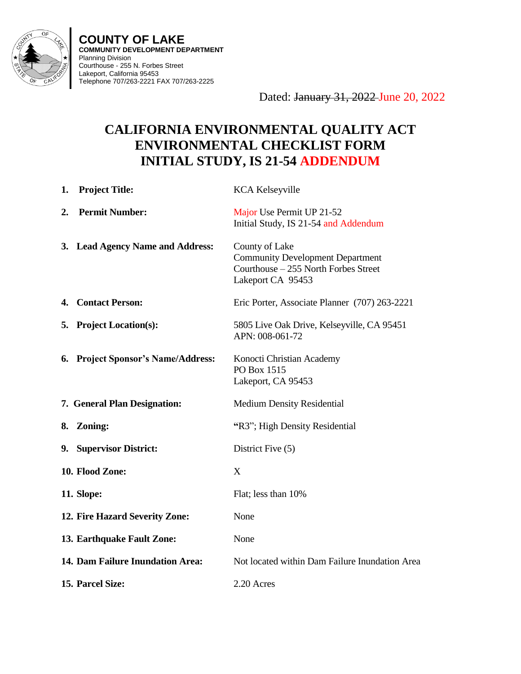

**COUNTY OF LAKE COMMUNITY DEVELOPMENT DEPARTMENT** Planning Division Courthouse - 255 N. Forbes Street Lakeport, California 95453 Telephone 707/263-2221 FAX 707/263-2225

Dated: January 31, 2022 June 20, 2022

# **CALIFORNIA ENVIRONMENTAL QUALITY ACT ENVIRONMENTAL CHECKLIST FORM INITIAL STUDY, IS 21-54 ADDENDUM**

| 1. | <b>Project Title:</b>              | <b>KCA Kelseyville</b>                                                                                                 |
|----|------------------------------------|------------------------------------------------------------------------------------------------------------------------|
| 2. | <b>Permit Number:</b>              | Major Use Permit UP 21-52<br>Initial Study, IS 21-54 and Addendum                                                      |
|    | 3. Lead Agency Name and Address:   | County of Lake<br><b>Community Development Department</b><br>Courthouse - 255 North Forbes Street<br>Lakeport CA 95453 |
|    | 4. Contact Person:                 | Eric Porter, Associate Planner (707) 263-2221                                                                          |
|    | 5. Project Location(s):            | 5805 Live Oak Drive, Kelseyville, CA 95451<br>APN: 008-061-72                                                          |
|    | 6. Project Sponsor's Name/Address: | Konocti Christian Academy<br>PO Box 1515<br>Lakeport, CA 95453                                                         |
|    | 7. General Plan Designation:       | <b>Medium Density Residential</b>                                                                                      |
|    | 8. Zoning:                         | "R3"; High Density Residential                                                                                         |
|    | 9. Supervisor District:            | District Five (5)                                                                                                      |
|    | 10. Flood Zone:                    | X                                                                                                                      |
|    | 11. Slope:                         | Flat; less than 10%                                                                                                    |
|    | 12. Fire Hazard Severity Zone:     | None                                                                                                                   |
|    | 13. Earthquake Fault Zone:         | None                                                                                                                   |
|    | 14. Dam Failure Inundation Area:   | Not located within Dam Failure Inundation Area                                                                         |
|    | 15. Parcel Size:                   | 2.20 Acres                                                                                                             |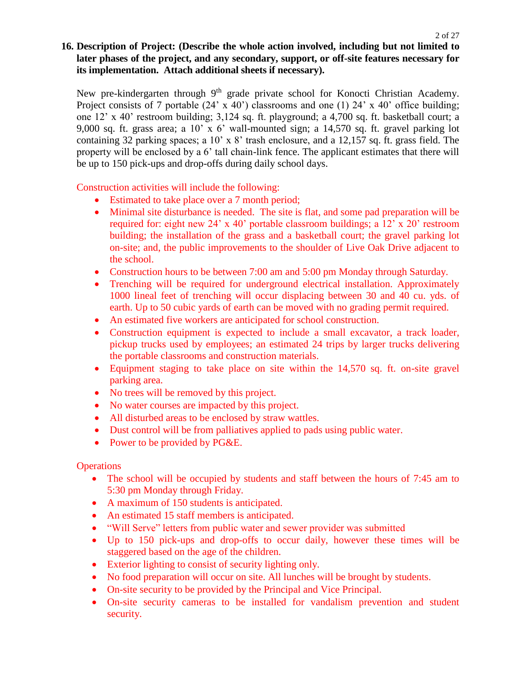## **16. Description of Project: (Describe the whole action involved, including but not limited to later phases of the project, and any secondary, support, or off-site features necessary for its implementation. Attach additional sheets if necessary).**

New pre-kindergarten through 9<sup>th</sup> grade private school for Konocti Christian Academy. Project consists of 7 portable  $(24 \text{ x } 40)$  classrooms and one  $(1)$  24' x 40' office building; one 12' x 40' restroom building; 3,124 sq. ft. playground; a 4,700 sq. ft. basketball court; a 9,000 sq. ft. grass area; a 10' x 6' wall-mounted sign; a 14,570 sq. ft. gravel parking lot containing 32 parking spaces; a 10' x 8' trash enclosure, and a 12,157 sq. ft. grass field. The property will be enclosed by a 6' tall chain-link fence. The applicant estimates that there will be up to 150 pick-ups and drop-offs during daily school days.

Construction activities will include the following:

- Estimated to take place over a 7 month period;
- Minimal site disturbance is needed. The site is flat, and some pad preparation will be required for: eight new 24' x 40' portable classroom buildings; a 12' x 20' restroom building; the installation of the grass and a basketball court; the gravel parking lot on-site; and, the public improvements to the shoulder of Live Oak Drive adjacent to the school.
- Construction hours to be between 7:00 am and 5:00 pm Monday through Saturday.
- Trenching will be required for underground electrical installation. Approximately 1000 lineal feet of trenching will occur displacing between 30 and 40 cu. yds. of earth. Up to 50 cubic yards of earth can be moved with no grading permit required.
- An estimated five workers are anticipated for school construction.
- Construction equipment is expected to include a small excavator, a track loader, pickup trucks used by employees; an estimated 24 trips by larger trucks delivering the portable classrooms and construction materials.
- Equipment staging to take place on site within the 14,570 sq. ft. on-site gravel parking area.
- No trees will be removed by this project.
- No water courses are impacted by this project.
- All disturbed areas to be enclosed by straw wattles.
- Dust control will be from palliatives applied to pads using public water.
- Power to be provided by PG&E.

## **Operations**

- The school will be occupied by students and staff between the hours of 7:45 am to 5:30 pm Monday through Friday.
- A maximum of 150 students is anticipated.
- An estimated 15 staff members is anticipated.
- "Will Serve" letters from public water and sewer provider was submitted
- Up to 150 pick-ups and drop-offs to occur daily, however these times will be staggered based on the age of the children.
- Exterior lighting to consist of security lighting only.
- No food preparation will occur on site. All lunches will be brought by students.
- On-site security to be provided by the Principal and Vice Principal.
- On-site security cameras to be installed for vandalism prevention and student security.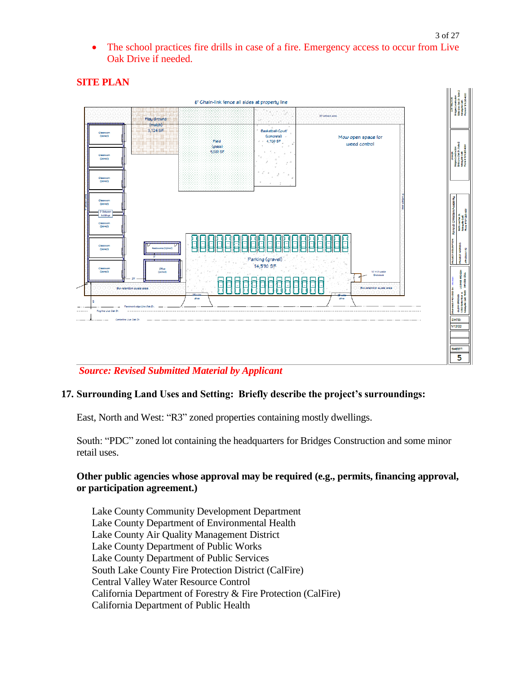• The school practices fire drills in case of a fire. Emergency access to occur from Live Oak Drive if needed.

3 of 27



## **SITE PLAN**

## *Source: Revised Submitted Material by Applicant*

## **17. Surrounding Land Uses and Setting: Briefly describe the project's surroundings:**

East, North and West: "R3" zoned properties containing mostly dwellings.

South: "PDC" zoned lot containing the headquarters for Bridges Construction and some minor retail uses.

#### **Other public agencies whose approval may be required (e.g., permits, financing approval, or participation agreement.)**

Lake County Community Development Department Lake County Department of Environmental Health Lake County Air Quality Management District Lake County Department of Public Works Lake County Department of Public Services South Lake County Fire Protection District (CalFire) Central Valley Water Resource Control California Department of Forestry & Fire Protection (CalFire) California Department of Public Health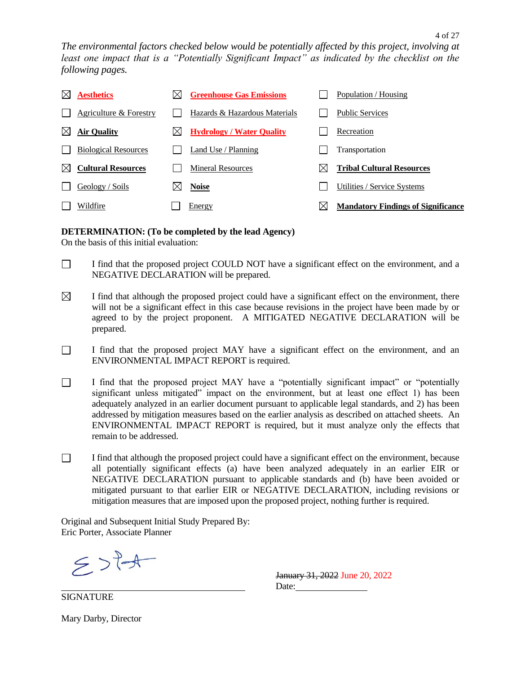*The environmental factors checked below would be potentially affected by this project, involving at least one impact that is a "Potentially Significant Impact" as indicated by the checklist on the following pages.* 

| $\boxtimes$ | <b>Aesthetics</b>           | IXI | <b>Greenhouse Gas Emissions</b>  |    | Population / Housing                      |
|-------------|-----------------------------|-----|----------------------------------|----|-------------------------------------------|
|             | Agriculture & Forestry      |     | Hazards & Hazardous Materials    |    | <b>Public Services</b>                    |
|             | <b>Air Quality</b>          | IXI | <b>Hydrology / Water Quality</b> |    | Recreation                                |
|             | <b>Biological Resources</b> |     | Land Use / Planning              |    | Transportation                            |
| ⊠           | <b>Cultural Resources</b>   |     | <b>Mineral Resources</b>         | IX | <b>Tribal Cultural Resources</b>          |
|             | Geology / Soils             |     | <b>Noise</b>                     |    | Utilities / Service Systems               |
|             | Wildfire                    |     | Energy                           | ⋉  | <b>Mandatory Findings of Significance</b> |

#### **DETERMINATION: (To be completed by the lead Agency)**

On the basis of this initial evaluation:

- I find that the proposed project COULD NOT have a significant effect on the environment, and a NEGATIVE DECLARATION will be prepared. □
- $\boxtimes$ I find that although the proposed project could have a significant effect on the environment, there will not be a significant effect in this case because revisions in the project have been made by or agreed to by the project proponent. A MITIGATED NEGATIVE DECLARATION will be prepared.
- I find that the proposed project MAY have a significant effect on the environment, and an ENVIRONMENTAL IMPACT REPORT is required. □
- I find that the proposed project MAY have a "potentially significant impact" or "potentially significant unless mitigated" impact on the environment, but at least one effect 1) has been adequately analyzed in an earlier document pursuant to applicable legal standards, and 2) has been addressed by mitigation measures based on the earlier analysis as described on attached sheets. An ENVIRONMENTAL IMPACT REPORT is required, but it must analyze only the effects that remain to be addressed. □
- I find that although the proposed project could have a significant effect on the environment, because all potentially significant effects (a) have been analyzed adequately in an earlier EIR or NEGATIVE DECLARATION pursuant to applicable standards and (b) have been avoided or mitigated pursuant to that earlier EIR or NEGATIVE DECLARATION, including revisions or mitigation measures that are imposed upon the proposed project, nothing further is required. □

Original and Subsequent Initial Study Prepared By: Eric Porter, Associate Planner

 $5$  stat

 January 31, 2022 June 20, 2022 **Date:** Date:

SIGNATURE

Mary Darby, Director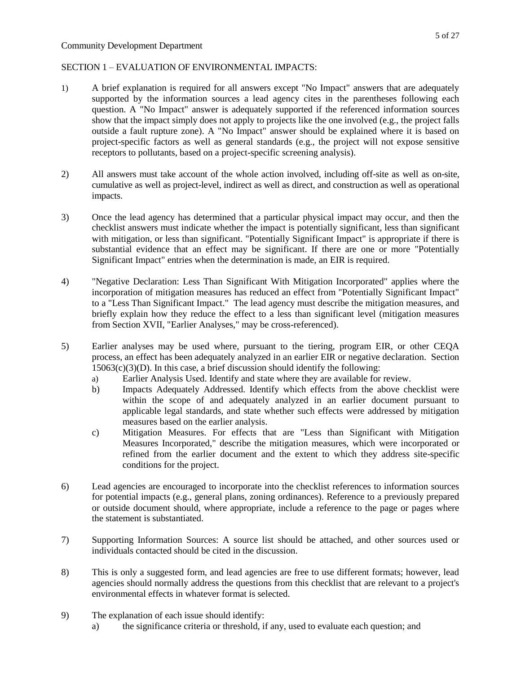#### SECTION 1 – EVALUATION OF ENVIRONMENTAL IMPACTS:

- 1) A brief explanation is required for all answers except "No Impact" answers that are adequately supported by the information sources a lead agency cites in the parentheses following each question. A "No Impact" answer is adequately supported if the referenced information sources show that the impact simply does not apply to projects like the one involved (e.g., the project falls outside a fault rupture zone). A "No Impact" answer should be explained where it is based on project-specific factors as well as general standards (e.g., the project will not expose sensitive receptors to pollutants, based on a project-specific screening analysis).
- 2) All answers must take account of the whole action involved, including off-site as well as on-site, cumulative as well as project-level, indirect as well as direct, and construction as well as operational impacts.
- 3) Once the lead agency has determined that a particular physical impact may occur, and then the checklist answers must indicate whether the impact is potentially significant, less than significant with mitigation, or less than significant. "Potentially Significant Impact" is appropriate if there is substantial evidence that an effect may be significant. If there are one or more "Potentially Significant Impact" entries when the determination is made, an EIR is required.
- 4) "Negative Declaration: Less Than Significant With Mitigation Incorporated" applies where the incorporation of mitigation measures has reduced an effect from "Potentially Significant Impact" to a "Less Than Significant Impact." The lead agency must describe the mitigation measures, and briefly explain how they reduce the effect to a less than significant level (mitigation measures from Section XVII, "Earlier Analyses," may be cross-referenced).
- 5) Earlier analyses may be used where, pursuant to the tiering, program EIR, or other CEQA process, an effect has been adequately analyzed in an earlier EIR or negative declaration. Section  $15063(c)(3)(D)$ . In this case, a brief discussion should identify the following:
	- a) Earlier Analysis Used. Identify and state where they are available for review.
	- b) Impacts Adequately Addressed. Identify which effects from the above checklist were within the scope of and adequately analyzed in an earlier document pursuant to applicable legal standards, and state whether such effects were addressed by mitigation measures based on the earlier analysis.
	- c) Mitigation Measures. For effects that are "Less than Significant with Mitigation Measures Incorporated," describe the mitigation measures, which were incorporated or refined from the earlier document and the extent to which they address site-specific conditions for the project.
- 6) Lead agencies are encouraged to incorporate into the checklist references to information sources for potential impacts (e.g., general plans, zoning ordinances). Reference to a previously prepared or outside document should, where appropriate, include a reference to the page or pages where the statement is substantiated.
- 7) Supporting Information Sources: A source list should be attached, and other sources used or individuals contacted should be cited in the discussion.
- 8) This is only a suggested form, and lead agencies are free to use different formats; however, lead agencies should normally address the questions from this checklist that are relevant to a project's environmental effects in whatever format is selected.
- 9) The explanation of each issue should identify:
	- a) the significance criteria or threshold, if any, used to evaluate each question; and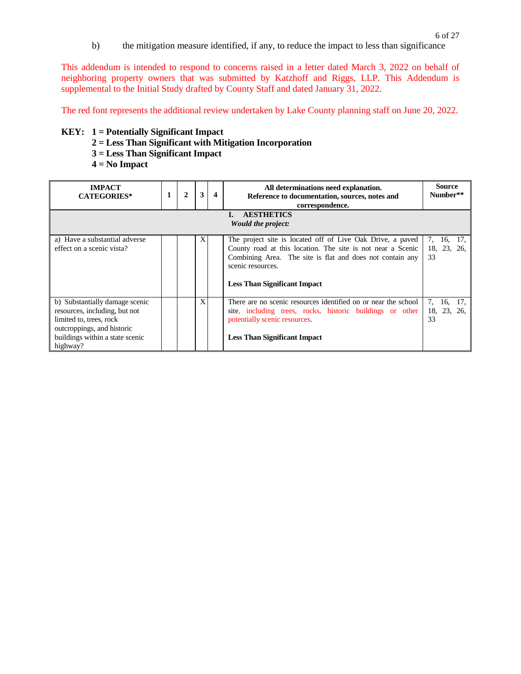b) the mitigation measure identified, if any, to reduce the impact to less than significance

This addendum is intended to respond to concerns raised in a letter dated March 3, 2022 on behalf of neighboring property owners that was submitted by Katzhoff and Riggs, LLP. This Addendum is supplemental to the Initial Study drafted by County Staff and dated January 31, 2022.

The red font represents the additional review undertaken by Lake County planning staff on June 20, 2022.

#### **KEY: 1 = Potentially Significant Impact**

- **2 = Less Than Significant with Mitigation Incorporation**
- **3 = Less Than Significant Impact**
- **4 = No Impact**

| <b>IMPACT</b><br><b>CATEGORIES*</b>                                                                                                                                     | 1 | $\mathbf{2}$ | 3 | 4 | All determinations need explanation.<br>Reference to documentation, sources, notes and<br>correspondence.                                                                                                                                          | Source<br>Number**                 |  |  |  |
|-------------------------------------------------------------------------------------------------------------------------------------------------------------------------|---|--------------|---|---|----------------------------------------------------------------------------------------------------------------------------------------------------------------------------------------------------------------------------------------------------|------------------------------------|--|--|--|
| <b>AESTHETICS</b><br><b>Would the project:</b>                                                                                                                          |   |              |   |   |                                                                                                                                                                                                                                                    |                                    |  |  |  |
| a) Have a substantial adverse<br>effect on a scenic vista?                                                                                                              |   |              | X |   | The project site is located off of Live Oak Drive, a paved<br>County road at this location. The site is not near a Scenic<br>Combining Area. The site is flat and does not contain any<br>scenic resources.<br><b>Less Than Significant Impact</b> | 17.<br>7, 16,<br>18, 23, 26,<br>33 |  |  |  |
| b) Substantially damage scenic<br>resources, including, but not<br>limited to, trees, rock<br>outcroppings, and historic<br>buildings within a state scenic<br>highway? |   |              | X |   | There are no scenic resources identified on or near the school<br>site, including trees, rocks, historic buildings or other<br>potentially scenic resources.<br><b>Less Than Significant Impact</b>                                                | 7, 16,<br>17,<br>18, 23, 26,<br>33 |  |  |  |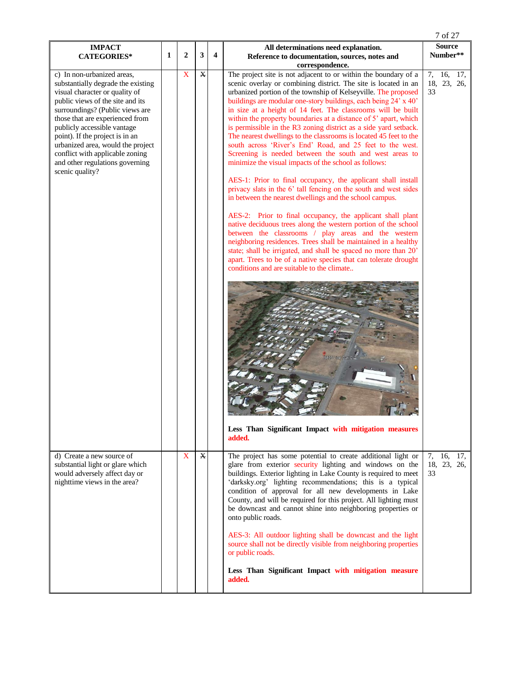|                                                                                                                                                                                                                                                                                                                                                                                                              |   |                |                  |                         |                                                                                                                                                                                                                                                                                                                                                                                                                                                                                                                                                                                                                                                                                                                                                                                                                                                                                                                                                                                                                                                                                                                                                                                                                                                                                                                                     | 7 of 27                               |
|--------------------------------------------------------------------------------------------------------------------------------------------------------------------------------------------------------------------------------------------------------------------------------------------------------------------------------------------------------------------------------------------------------------|---|----------------|------------------|-------------------------|-------------------------------------------------------------------------------------------------------------------------------------------------------------------------------------------------------------------------------------------------------------------------------------------------------------------------------------------------------------------------------------------------------------------------------------------------------------------------------------------------------------------------------------------------------------------------------------------------------------------------------------------------------------------------------------------------------------------------------------------------------------------------------------------------------------------------------------------------------------------------------------------------------------------------------------------------------------------------------------------------------------------------------------------------------------------------------------------------------------------------------------------------------------------------------------------------------------------------------------------------------------------------------------------------------------------------------------|---------------------------------------|
| <b>IMPACT</b><br><b>CATEGORIES*</b>                                                                                                                                                                                                                                                                                                                                                                          | 1 | $\overline{2}$ | 3                | $\overline{\mathbf{4}}$ | All determinations need explanation.<br>Reference to documentation, sources, notes and                                                                                                                                                                                                                                                                                                                                                                                                                                                                                                                                                                                                                                                                                                                                                                                                                                                                                                                                                                                                                                                                                                                                                                                                                                              | <b>Source</b><br>Number**             |
|                                                                                                                                                                                                                                                                                                                                                                                                              |   |                |                  |                         | correspondence.                                                                                                                                                                                                                                                                                                                                                                                                                                                                                                                                                                                                                                                                                                                                                                                                                                                                                                                                                                                                                                                                                                                                                                                                                                                                                                                     |                                       |
| c) In non-urbanized areas,<br>substantially degrade the existing<br>visual character or quality of<br>public views of the site and its<br>surroundings? (Public views are<br>those that are experienced from<br>publicly accessible vantage<br>point). If the project is in an<br>urbanized area, would the project<br>conflict with applicable zoning<br>and other regulations governing<br>scenic quality? |   | X              | $\mathbf X$      |                         | The project site is not adjacent to or within the boundary of a<br>scenic overlay or combining district. The site is located in an<br>urbanized portion of the township of Kelseyville. The proposed<br>buildings are modular one-story buildings, each being 24' x 40'<br>in size at a height of 14 feet. The classrooms will be built<br>within the property boundaries at a distance of 5' apart, which<br>is permissible in the R3 zoning district as a side yard setback.<br>The nearest dwellings to the classrooms is located 45 feet to the<br>south across 'River's End' Road, and 25 feet to the west.<br>Screening is needed between the south and west areas to<br>minimize the visual impacts of the school as follows:<br>AES-1: Prior to final occupancy, the applicant shall install<br>privacy slats in the 6' tall fencing on the south and west sides<br>in between the nearest dwellings and the school campus.<br>AES-2: Prior to final occupancy, the applicant shall plant<br>native deciduous trees along the western portion of the school<br>between the classrooms / play areas and the western<br>neighboring residences. Trees shall be maintained in a healthy<br>state; shall be irrigated, and shall be spaced no more than 20'<br>apart. Trees to be of a native species that can tolerate drought | 7, 16, 17,<br>18, 23, 26,<br>33       |
|                                                                                                                                                                                                                                                                                                                                                                                                              |   |                |                  |                         | conditions and are suitable to the climate<br><b>SBOS Live Oak Dr.</b><br>Less Than Significant Impact with mitigation measures<br>added.                                                                                                                                                                                                                                                                                                                                                                                                                                                                                                                                                                                                                                                                                                                                                                                                                                                                                                                                                                                                                                                                                                                                                                                           |                                       |
| d) Create a new source of<br>substantial light or glare which<br>would adversely affect day or<br>nighttime views in the area?                                                                                                                                                                                                                                                                               |   | $\mathbf X$    | $\boldsymbol{X}$ |                         | The project has some potential to create additional light or<br>glare from exterior security lighting and windows on the<br>buildings. Exterior lighting in Lake County is required to meet<br>'darksky.org' lighting recommendations; this is a typical<br>condition of approval for all new developments in Lake<br>County, and will be required for this project. All lighting must<br>be downcast and cannot shine into neighboring properties or<br>onto public roads.<br>AES-3: All outdoor lighting shall be downcast and the light<br>source shall not be directly visible from neighboring properties<br>or public roads.<br>Less Than Significant Impact with mitigation measure<br>added.                                                                                                                                                                                                                                                                                                                                                                                                                                                                                                                                                                                                                                | 16,<br>7,<br>17,<br>18, 23, 26,<br>33 |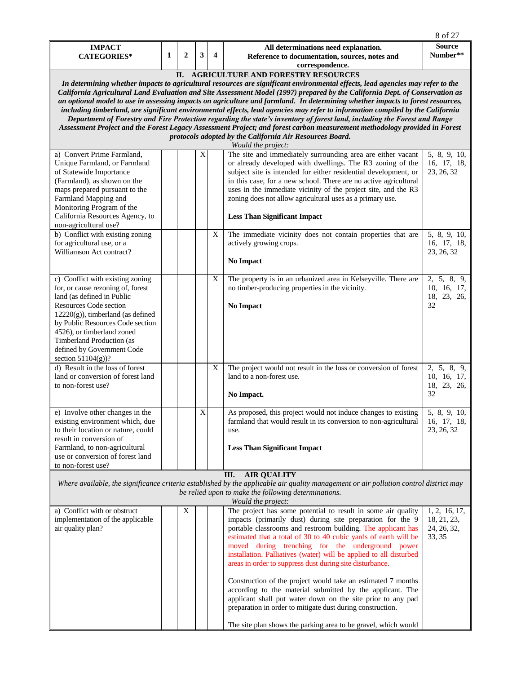|                                                                                                                                                                                                                                                             |                                                                                                                                                                                                                                                                |                |             |   |                                                                                                                                       | 8 of 27                    |  |  |  |  |  |
|-------------------------------------------------------------------------------------------------------------------------------------------------------------------------------------------------------------------------------------------------------------|----------------------------------------------------------------------------------------------------------------------------------------------------------------------------------------------------------------------------------------------------------------|----------------|-------------|---|---------------------------------------------------------------------------------------------------------------------------------------|----------------------------|--|--|--|--|--|
| <b>IMPACT</b><br><b>CATEGORIES*</b>                                                                                                                                                                                                                         | $\mathbf{1}$                                                                                                                                                                                                                                                   | $\overline{2}$ | 3           | 4 | All determinations need explanation.<br>Reference to documentation, sources, notes and                                                | <b>Source</b><br>Number**  |  |  |  |  |  |
|                                                                                                                                                                                                                                                             |                                                                                                                                                                                                                                                                |                |             |   | correspondence.<br>II. AGRICULTURE AND FORESTRY RESOURCES                                                                             |                            |  |  |  |  |  |
|                                                                                                                                                                                                                                                             | In determining whether impacts to agricultural resources are significant environmental effects, lead agencies may refer to the<br>California Agricultural Land Evaluation and Site Assessment Model (1997) prepared by the California Dept. of Conservation as |                |             |   |                                                                                                                                       |                            |  |  |  |  |  |
| an optional model to use in assessing impacts on agriculture and farmland. In determining whether impacts to forest resources,                                                                                                                              |                                                                                                                                                                                                                                                                |                |             |   |                                                                                                                                       |                            |  |  |  |  |  |
| including timberland, are significant environmental effects, lead agencies may refer to information compiled by the California<br>Department of Forestry and Fire Protection regarding the state's inventory of forest land, including the Forest and Range |                                                                                                                                                                                                                                                                |                |             |   |                                                                                                                                       |                            |  |  |  |  |  |
| Assessment Project and the Forest Legacy Assessment Project; and forest carbon measurement methodology provided in Forest                                                                                                                                   |                                                                                                                                                                                                                                                                |                |             |   |                                                                                                                                       |                            |  |  |  |  |  |
| protocols adopted by the California Air Resources Board.<br>Would the project:                                                                                                                                                                              |                                                                                                                                                                                                                                                                |                |             |   |                                                                                                                                       |                            |  |  |  |  |  |
| a) Convert Prime Farmland,                                                                                                                                                                                                                                  |                                                                                                                                                                                                                                                                |                | $\mathbf X$ |   | The site and immediately surrounding area are either vacant                                                                           | 5, 8, 9, 10,               |  |  |  |  |  |
| Unique Farmland, or Farmland                                                                                                                                                                                                                                |                                                                                                                                                                                                                                                                |                |             |   | or already developed with dwellings. The R3 zoning of the                                                                             | 16, 17, 18,                |  |  |  |  |  |
| of Statewide Importance<br>(Farmland), as shown on the                                                                                                                                                                                                      |                                                                                                                                                                                                                                                                |                |             |   | subject site is intended for either residential development, or<br>in this case, for a new school. There are no active agricultural   | 23, 26, 32                 |  |  |  |  |  |
| maps prepared pursuant to the                                                                                                                                                                                                                               |                                                                                                                                                                                                                                                                |                |             |   | uses in the immediate vicinity of the project site, and the R3                                                                        |                            |  |  |  |  |  |
| Farmland Mapping and                                                                                                                                                                                                                                        |                                                                                                                                                                                                                                                                |                |             |   | zoning does not allow agricultural uses as a primary use.                                                                             |                            |  |  |  |  |  |
| Monitoring Program of the                                                                                                                                                                                                                                   |                                                                                                                                                                                                                                                                |                |             |   |                                                                                                                                       |                            |  |  |  |  |  |
| California Resources Agency, to                                                                                                                                                                                                                             |                                                                                                                                                                                                                                                                |                |             |   | <b>Less Than Significant Impact</b>                                                                                                   |                            |  |  |  |  |  |
| non-agricultural use?<br>b) Conflict with existing zoning                                                                                                                                                                                                   |                                                                                                                                                                                                                                                                |                |             | X | The immediate vicinity does not contain properties that are                                                                           | 5, 8, 9, 10,               |  |  |  |  |  |
| for agricultural use, or a                                                                                                                                                                                                                                  |                                                                                                                                                                                                                                                                |                |             |   | actively growing crops.                                                                                                               | 16, 17, 18,                |  |  |  |  |  |
| Williamson Act contract?                                                                                                                                                                                                                                    |                                                                                                                                                                                                                                                                |                |             |   |                                                                                                                                       | 23, 26, 32                 |  |  |  |  |  |
|                                                                                                                                                                                                                                                             |                                                                                                                                                                                                                                                                |                |             |   | No Impact                                                                                                                             |                            |  |  |  |  |  |
| c) Conflict with existing zoning                                                                                                                                                                                                                            |                                                                                                                                                                                                                                                                |                |             | X | The property is in an urbanized area in Kelseyville. There are                                                                        | 2, 5, 8, 9,                |  |  |  |  |  |
| for, or cause rezoning of, forest<br>land (as defined in Public                                                                                                                                                                                             |                                                                                                                                                                                                                                                                |                |             |   | no timber-producing properties in the vicinity.                                                                                       | 10, 16, 17,<br>18, 23, 26, |  |  |  |  |  |
| <b>Resources Code section</b>                                                                                                                                                                                                                               |                                                                                                                                                                                                                                                                |                |             |   | No Impact                                                                                                                             | 32                         |  |  |  |  |  |
| $12220(g)$ , timberland (as defined                                                                                                                                                                                                                         |                                                                                                                                                                                                                                                                |                |             |   |                                                                                                                                       |                            |  |  |  |  |  |
| by Public Resources Code section                                                                                                                                                                                                                            |                                                                                                                                                                                                                                                                |                |             |   |                                                                                                                                       |                            |  |  |  |  |  |
| 4526), or timberland zoned                                                                                                                                                                                                                                  |                                                                                                                                                                                                                                                                |                |             |   |                                                                                                                                       |                            |  |  |  |  |  |
| Timberland Production (as                                                                                                                                                                                                                                   |                                                                                                                                                                                                                                                                |                |             |   |                                                                                                                                       |                            |  |  |  |  |  |
| defined by Government Code<br>section $51104(g)$ ?                                                                                                                                                                                                          |                                                                                                                                                                                                                                                                |                |             |   |                                                                                                                                       |                            |  |  |  |  |  |
| d) Result in the loss of forest                                                                                                                                                                                                                             |                                                                                                                                                                                                                                                                |                |             | X | The project would not result in the loss or conversion of forest                                                                      | 2, 5, 8, 9,                |  |  |  |  |  |
| land or conversion of forest land                                                                                                                                                                                                                           |                                                                                                                                                                                                                                                                |                |             |   | land to a non-forest use.                                                                                                             | 10, 16, 17,                |  |  |  |  |  |
| to non-forest use?                                                                                                                                                                                                                                          |                                                                                                                                                                                                                                                                |                |             |   |                                                                                                                                       | 18, 23, 26,<br>32          |  |  |  |  |  |
|                                                                                                                                                                                                                                                             |                                                                                                                                                                                                                                                                |                |             |   | No Impact.                                                                                                                            |                            |  |  |  |  |  |
| e) Involve other changes in the                                                                                                                                                                                                                             |                                                                                                                                                                                                                                                                |                | $\bf{X}$    |   | As proposed, this project would not induce changes to existing                                                                        | 5, 8, 9, 10,               |  |  |  |  |  |
| existing environment which, due<br>to their location or nature, could                                                                                                                                                                                       |                                                                                                                                                                                                                                                                |                |             |   | farmland that would result in its conversion to non-agricultural                                                                      | 16, 17, 18,<br>23, 26, 32  |  |  |  |  |  |
| result in conversion of                                                                                                                                                                                                                                     |                                                                                                                                                                                                                                                                |                |             |   | use.                                                                                                                                  |                            |  |  |  |  |  |
| Farmland, to non-agricultural                                                                                                                                                                                                                               |                                                                                                                                                                                                                                                                |                |             |   | <b>Less Than Significant Impact</b>                                                                                                   |                            |  |  |  |  |  |
| use or conversion of forest land<br>to non-forest use?                                                                                                                                                                                                      |                                                                                                                                                                                                                                                                |                |             |   |                                                                                                                                       |                            |  |  |  |  |  |
|                                                                                                                                                                                                                                                             |                                                                                                                                                                                                                                                                |                |             |   | <b>AIR QUALITY</b><br>Ш.                                                                                                              |                            |  |  |  |  |  |
|                                                                                                                                                                                                                                                             |                                                                                                                                                                                                                                                                |                |             |   | Where available, the significance criteria established by the applicable air quality management or air pollution control district may |                            |  |  |  |  |  |
|                                                                                                                                                                                                                                                             |                                                                                                                                                                                                                                                                |                |             |   | be relied upon to make the following determinations.<br>Would the project:                                                            |                            |  |  |  |  |  |
| a) Conflict with or obstruct                                                                                                                                                                                                                                |                                                                                                                                                                                                                                                                | X              |             |   | The project has some potential to result in some air quality                                                                          | 1, 2, 16, 17,              |  |  |  |  |  |
| implementation of the applicable                                                                                                                                                                                                                            |                                                                                                                                                                                                                                                                |                |             |   | impacts (primarily dust) during site preparation for the 9                                                                            | 18, 21, 23,                |  |  |  |  |  |
| air quality plan?                                                                                                                                                                                                                                           |                                                                                                                                                                                                                                                                |                |             |   | portable classrooms and restroom building. The applicant has                                                                          | 24, 26, 32,                |  |  |  |  |  |
|                                                                                                                                                                                                                                                             |                                                                                                                                                                                                                                                                |                |             |   | estimated that a total of 30 to 40 cubic yards of earth will be                                                                       | 33, 35                     |  |  |  |  |  |
|                                                                                                                                                                                                                                                             |                                                                                                                                                                                                                                                                |                |             |   | moved during trenching for the underground power<br>installation. Palliatives (water) will be applied to all disturbed                |                            |  |  |  |  |  |
|                                                                                                                                                                                                                                                             |                                                                                                                                                                                                                                                                |                |             |   | areas in order to suppress dust during site disturbance.                                                                              |                            |  |  |  |  |  |
|                                                                                                                                                                                                                                                             |                                                                                                                                                                                                                                                                |                |             |   |                                                                                                                                       |                            |  |  |  |  |  |
|                                                                                                                                                                                                                                                             |                                                                                                                                                                                                                                                                |                |             |   | Construction of the project would take an estimated 7 months<br>according to the material submitted by the applicant. The             |                            |  |  |  |  |  |
|                                                                                                                                                                                                                                                             |                                                                                                                                                                                                                                                                |                |             |   | applicant shall put water down on the site prior to any pad                                                                           |                            |  |  |  |  |  |
|                                                                                                                                                                                                                                                             |                                                                                                                                                                                                                                                                |                |             |   | preparation in order to mitigate dust during construction.                                                                            |                            |  |  |  |  |  |
|                                                                                                                                                                                                                                                             |                                                                                                                                                                                                                                                                |                |             |   | The site plan shows the parking area to be gravel, which would                                                                        |                            |  |  |  |  |  |
|                                                                                                                                                                                                                                                             |                                                                                                                                                                                                                                                                |                |             |   |                                                                                                                                       |                            |  |  |  |  |  |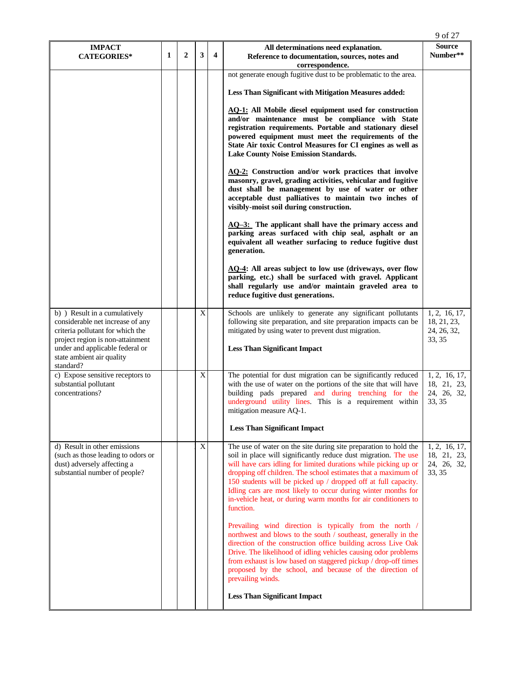|                                                                                                                                                                                                                        |   |   |   |   |                                                                                                                                                                                                                                                                                                                                                                                                                                                                                           | 9 of 27                                               |
|------------------------------------------------------------------------------------------------------------------------------------------------------------------------------------------------------------------------|---|---|---|---|-------------------------------------------------------------------------------------------------------------------------------------------------------------------------------------------------------------------------------------------------------------------------------------------------------------------------------------------------------------------------------------------------------------------------------------------------------------------------------------------|-------------------------------------------------------|
| <b>IMPACT</b><br><b>CATEGORIES*</b>                                                                                                                                                                                    | 1 | 2 | 3 | 4 | All determinations need explanation.<br>Reference to documentation, sources, notes and<br>correspondence.                                                                                                                                                                                                                                                                                                                                                                                 | <b>Source</b><br>Number**                             |
|                                                                                                                                                                                                                        |   |   |   |   | not generate enough fugitive dust to be problematic to the area.                                                                                                                                                                                                                                                                                                                                                                                                                          |                                                       |
|                                                                                                                                                                                                                        |   |   |   |   | Less Than Significant with Mitigation Measures added:                                                                                                                                                                                                                                                                                                                                                                                                                                     |                                                       |
|                                                                                                                                                                                                                        |   |   |   |   | <b>AQ-1:</b> All Mobile diesel equipment used for construction<br>and/or maintenance must be compliance with State<br>registration requirements. Portable and stationary diesel<br>powered equipment must meet the requirements of the<br>State Air toxic Control Measures for CI engines as well as<br>Lake County Noise Emission Standards.                                                                                                                                             |                                                       |
|                                                                                                                                                                                                                        |   |   |   |   | <b>AQ-2:</b> Construction and/or work practices that involve<br>masonry, gravel, grading activities, vehicular and fugitive<br>dust shall be management by use of water or other<br>acceptable dust palliatives to maintain two inches of<br>visibly-moist soil during construction.                                                                                                                                                                                                      |                                                       |
|                                                                                                                                                                                                                        |   |   |   |   | AQ-3: The applicant shall have the primary access and<br>parking areas surfaced with chip seal, asphalt or an<br>equivalent all weather surfacing to reduce fugitive dust<br>generation.                                                                                                                                                                                                                                                                                                  |                                                       |
|                                                                                                                                                                                                                        |   |   |   |   | $\Delta Q$ -4: All areas subject to low use (driveways, over flow<br>parking, etc.) shall be surfaced with gravel. Applicant<br>shall regularly use and/or maintain graveled area to<br>reduce fugitive dust generations.                                                                                                                                                                                                                                                                 |                                                       |
| b) ) Result in a cumulatively<br>considerable net increase of any<br>criteria pollutant for which the<br>project region is non-attainment<br>under and applicable federal or<br>state ambient air quality<br>standard? |   |   | X |   | Schools are unlikely to generate any significant pollutants<br>following site preparation, and site preparation impacts can be<br>mitigated by using water to prevent dust migration.<br><b>Less Than Significant Impact</b>                                                                                                                                                                                                                                                              | 1, 2, 16, 17,<br>18, 21, 23,<br>24, 26, 32,<br>33, 35 |
| c) Expose sensitive receptors to<br>substantial pollutant<br>concentrations?                                                                                                                                           |   |   | X |   | The potential for dust migration can be significantly reduced<br>with the use of water on the portions of the site that will have<br>building pads prepared and during trenching for the<br>underground utility lines. This is a requirement within<br>mitigation measure AQ-1.<br><b>Less Than Significant Impact</b>                                                                                                                                                                    | 1, 2, 16, 17,<br>18, 21, 23,<br>24, 26, 32,<br>33, 35 |
| d) Result in other emissions<br>(such as those leading to odors or<br>dust) adversely affecting a<br>substantial number of people?                                                                                     |   |   | X |   | The use of water on the site during site preparation to hold the<br>soil in place will significantly reduce dust migration. The use<br>will have cars idling for limited durations while picking up or<br>dropping off children. The school estimates that a maximum of<br>150 students will be picked up / dropped off at full capacity.<br>Idling cars are most likely to occur during winter months for<br>in-vehicle heat, or during warm months for air conditioners to<br>function. | 1, 2, 16, 17,<br>18, 21, 23,<br>24, 26, 32,<br>33, 35 |
|                                                                                                                                                                                                                        |   |   |   |   | Prevailing wind direction is typically from the north /<br>northwest and blows to the south / southeast, generally in the<br>direction of the construction office building across Live Oak<br>Drive. The likelihood of idling vehicles causing odor problems<br>from exhaust is low based on staggered pickup / drop-off times<br>proposed by the school, and because of the direction of<br>prevailing winds.                                                                            |                                                       |
|                                                                                                                                                                                                                        |   |   |   |   | <b>Less Than Significant Impact</b>                                                                                                                                                                                                                                                                                                                                                                                                                                                       |                                                       |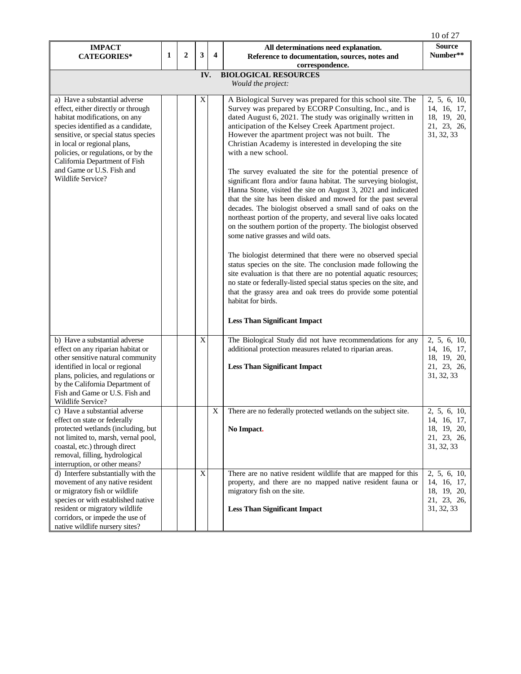|                                                                                                                                                                                                                                                                                                                                             |   |                |             |                         |                                                                                                                                                                                                                                                                                                                                                                                                                                                                                                                                                                                                                                                                                                                                                                                                                                                                                                                                                                                                                                                                                                                                                                                                                                                                                                        | 10 of 27                                                                              |
|---------------------------------------------------------------------------------------------------------------------------------------------------------------------------------------------------------------------------------------------------------------------------------------------------------------------------------------------|---|----------------|-------------|-------------------------|--------------------------------------------------------------------------------------------------------------------------------------------------------------------------------------------------------------------------------------------------------------------------------------------------------------------------------------------------------------------------------------------------------------------------------------------------------------------------------------------------------------------------------------------------------------------------------------------------------------------------------------------------------------------------------------------------------------------------------------------------------------------------------------------------------------------------------------------------------------------------------------------------------------------------------------------------------------------------------------------------------------------------------------------------------------------------------------------------------------------------------------------------------------------------------------------------------------------------------------------------------------------------------------------------------|---------------------------------------------------------------------------------------|
| <b>IMPACT</b><br><b>CATEGORIES*</b>                                                                                                                                                                                                                                                                                                         | 1 | $\overline{2}$ | 3           | $\overline{\mathbf{4}}$ | All determinations need explanation.<br>Reference to documentation, sources, notes and<br>correspondence.                                                                                                                                                                                                                                                                                                                                                                                                                                                                                                                                                                                                                                                                                                                                                                                                                                                                                                                                                                                                                                                                                                                                                                                              | <b>Source</b><br>Number**                                                             |
|                                                                                                                                                                                                                                                                                                                                             |   |                | IV.         |                         | <b>BIOLOGICAL RESOURCES</b><br>Would the project:                                                                                                                                                                                                                                                                                                                                                                                                                                                                                                                                                                                                                                                                                                                                                                                                                                                                                                                                                                                                                                                                                                                                                                                                                                                      |                                                                                       |
| a) Have a substantial adverse<br>effect, either directly or through<br>habitat modifications, on any<br>species identified as a candidate,<br>sensitive, or special status species<br>in local or regional plans,<br>policies, or regulations, or by the<br>California Department of Fish<br>and Game or U.S. Fish and<br>Wildlife Service? |   |                | X           |                         | A Biological Survey was prepared for this school site. The<br>Survey was prepared by ECORP Consulting, Inc., and is<br>dated August 6, 2021. The study was originally written in<br>anticipation of the Kelsey Creek Apartment project.<br>However the apartment project was not built. The<br>Christian Academy is interested in developing the site<br>with a new school.<br>The survey evaluated the site for the potential presence of<br>significant flora and/or fauna habitat. The surveying biologist,<br>Hanna Stone, visited the site on August 3, 2021 and indicated<br>that the site has been disked and mowed for the past several<br>decades. The biologist observed a small sand of oaks on the<br>northeast portion of the property, and several live oaks located<br>on the southern portion of the property. The biologist observed<br>some native grasses and wild oats.<br>The biologist determined that there were no observed special<br>status species on the site. The conclusion made following the<br>site evaluation is that there are no potential aquatic resources;<br>no state or federally-listed special status species on the site, and<br>that the grassy area and oak trees do provide some potential<br>habitat for birds.<br><b>Less Than Significant Impact</b> | 2, 5, 6, 10,<br>14, 16, 17,<br>18, 19, 20,<br>21, 23, 26,<br>31, 32, 33               |
| b) Have a substantial adverse<br>effect on any riparian habitat or<br>other sensitive natural community<br>identified in local or regional<br>plans, policies, and regulations or<br>by the California Department of<br>Fish and Game or U.S. Fish and<br>Wildlife Service?                                                                 |   |                | X           |                         | The Biological Study did not have recommendations for any<br>additional protection measures related to riparian areas.<br><b>Less Than Significant Impact</b>                                                                                                                                                                                                                                                                                                                                                                                                                                                                                                                                                                                                                                                                                                                                                                                                                                                                                                                                                                                                                                                                                                                                          | 2, 5, 6, 10,<br>14, 16, 17,<br>18, 19, 20,<br>21, 23, 26,<br>31, 32, 33               |
| c) Have a substantial adverse<br>effect on state or federally<br>protected wetlands (including, but<br>not limited to, marsh, vernal pool,<br>coastal, etc.) through direct<br>removal, filling, hydrological<br>interruption, or other means?                                                                                              |   |                |             | $\mathbf X$             | There are no federally protected wetlands on the subject site.<br>No Impact.                                                                                                                                                                                                                                                                                                                                                                                                                                                                                                                                                                                                                                                                                                                                                                                                                                                                                                                                                                                                                                                                                                                                                                                                                           | $\overline{2}$ , 5, 6, 10,<br>14, 16, 17,<br>18, 19, 20,<br>21, 23, 26,<br>31, 32, 33 |
| d) Interfere substantially with the<br>movement of any native resident<br>or migratory fish or wildlife<br>species or with established native<br>resident or migratory wildlife<br>corridors, or impede the use of<br>native wildlife nursery sites?                                                                                        |   |                | $\mathbf X$ |                         | There are no native resident wildlife that are mapped for this<br>property, and there are no mapped native resident fauna or<br>migratory fish on the site.<br><b>Less Than Significant Impact</b>                                                                                                                                                                                                                                                                                                                                                                                                                                                                                                                                                                                                                                                                                                                                                                                                                                                                                                                                                                                                                                                                                                     | 2, 5, 6, 10,<br>14, 16, 17,<br>18, 19, 20,<br>21, 23, 26,<br>31, 32, 33               |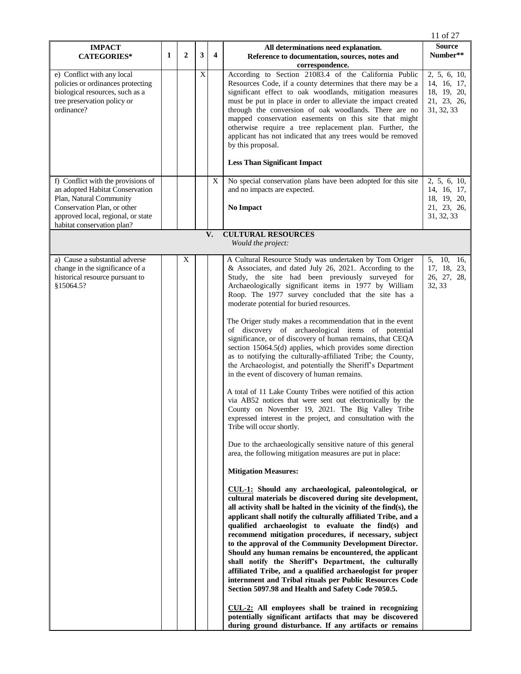|                                                                                                                                                                                                     |              |                |   |    |                                                                                                                                                                                                                                                                                                                                                                                                                                                                                                                                                                                                                                                                                                                                                                                                                                                                                                                                                                                                                                                                                                                                                                                                                                                                                                                                                                                                                                                                                                                                                                                                                                                                                                                                                                                                                                                                                                                                                                                                                                                                                                                               | 11 of 27                                                                |
|-----------------------------------------------------------------------------------------------------------------------------------------------------------------------------------------------------|--------------|----------------|---|----|-------------------------------------------------------------------------------------------------------------------------------------------------------------------------------------------------------------------------------------------------------------------------------------------------------------------------------------------------------------------------------------------------------------------------------------------------------------------------------------------------------------------------------------------------------------------------------------------------------------------------------------------------------------------------------------------------------------------------------------------------------------------------------------------------------------------------------------------------------------------------------------------------------------------------------------------------------------------------------------------------------------------------------------------------------------------------------------------------------------------------------------------------------------------------------------------------------------------------------------------------------------------------------------------------------------------------------------------------------------------------------------------------------------------------------------------------------------------------------------------------------------------------------------------------------------------------------------------------------------------------------------------------------------------------------------------------------------------------------------------------------------------------------------------------------------------------------------------------------------------------------------------------------------------------------------------------------------------------------------------------------------------------------------------------------------------------------------------------------------------------------|-------------------------------------------------------------------------|
| <b>IMPACT</b><br><b>CATEGORIES*</b>                                                                                                                                                                 | $\mathbf{1}$ | $\overline{2}$ | 3 | 4  | All determinations need explanation.<br>Reference to documentation, sources, notes and<br>correspondence.                                                                                                                                                                                                                                                                                                                                                                                                                                                                                                                                                                                                                                                                                                                                                                                                                                                                                                                                                                                                                                                                                                                                                                                                                                                                                                                                                                                                                                                                                                                                                                                                                                                                                                                                                                                                                                                                                                                                                                                                                     | <b>Source</b><br>Number**                                               |
| e) Conflict with any local<br>policies or ordinances protecting<br>biological resources, such as a<br>tree preservation policy or<br>ordinance?                                                     |              |                | X |    | According to Section 21083.4 of the California Public<br>Resources Code, if a county determines that there may be a<br>significant effect to oak woodlands, mitigation measures<br>must be put in place in order to alleviate the impact created<br>through the conversion of oak woodlands. There are no<br>mapped conservation easements on this site that might<br>otherwise require a tree replacement plan. Further, the<br>applicant has not indicated that any trees would be removed<br>by this proposal.<br><b>Less Than Significant Impact</b>                                                                                                                                                                                                                                                                                                                                                                                                                                                                                                                                                                                                                                                                                                                                                                                                                                                                                                                                                                                                                                                                                                                                                                                                                                                                                                                                                                                                                                                                                                                                                                      | 2, 5, 6, 10,<br>14, 16, 17,<br>18, 19, 20,<br>21, 23, 26,<br>31, 32, 33 |
| f) Conflict with the provisions of<br>an adopted Habitat Conservation<br>Plan, Natural Community<br>Conservation Plan, or other<br>approved local, regional, or state<br>habitat conservation plan? |              |                |   | X  | No special conservation plans have been adopted for this site<br>and no impacts are expected.<br>No Impact                                                                                                                                                                                                                                                                                                                                                                                                                                                                                                                                                                                                                                                                                                                                                                                                                                                                                                                                                                                                                                                                                                                                                                                                                                                                                                                                                                                                                                                                                                                                                                                                                                                                                                                                                                                                                                                                                                                                                                                                                    | 2, 5, 6, 10,<br>14, 16, 17,<br>18, 19, 20,<br>21, 23, 26,<br>31, 32, 33 |
|                                                                                                                                                                                                     |              |                |   | V. | <b>CULTURAL RESOURCES</b><br>Would the project:                                                                                                                                                                                                                                                                                                                                                                                                                                                                                                                                                                                                                                                                                                                                                                                                                                                                                                                                                                                                                                                                                                                                                                                                                                                                                                                                                                                                                                                                                                                                                                                                                                                                                                                                                                                                                                                                                                                                                                                                                                                                               |                                                                         |
| a) Cause a substantial adverse<br>change in the significance of a<br>historical resource pursuant to<br>§15064.5?                                                                                   |              | X              |   |    | A Cultural Resource Study was undertaken by Tom Origer<br>& Associates, and dated July 26, 2021. According to the<br>Study, the site had been previously surveyed for<br>Archaeologically significant items in 1977 by William<br>Roop. The 1977 survey concluded that the site has a<br>moderate potential for buried resources.<br>The Origer study makes a recommendation that in the event<br>of discovery of archaeological items of potential<br>significance, or of discovery of human remains, that CEQA<br>section 15064.5(d) applies, which provides some direction<br>as to notifying the culturally-affiliated Tribe; the County,<br>the Archaeologist, and potentially the Sheriff's Department<br>in the event of discovery of human remains.<br>A total of 11 Lake County Tribes were notified of this action<br>via AB52 notices that were sent out electronically by the<br>County on November 19, 2021. The Big Valley Tribe<br>expressed interest in the project, and consultation with the<br>Tribe will occur shortly.<br>Due to the archaeologically sensitive nature of this general<br>area, the following mitigation measures are put in place:<br><b>Mitigation Measures:</b><br>CUL-1: Should any archaeological, paleontological, or<br>cultural materials be discovered during site development,<br>all activity shall be halted in the vicinity of the find(s), the<br>applicant shall notify the culturally affiliated Tribe, and a<br>qualified archaeologist to evaluate the find(s) and<br>recommend mitigation procedures, if necessary, subject<br>to the approval of the Community Development Director.<br>Should any human remains be encountered, the applicant<br>shall notify the Sheriff's Department, the culturally<br>affiliated Tribe, and a qualified archaeologist for proper<br>internment and Tribal rituals per Public Resources Code<br>Section 5097.98 and Health and Safety Code 7050.5.<br>CUL-2: All employees shall be trained in recognizing<br>potentially significant artifacts that may be discovered<br>during ground disturbance. If any artifacts or remains | 5, 10,<br>16,<br>17, 18, 23,<br>26, 27, 28,<br>32, 33                   |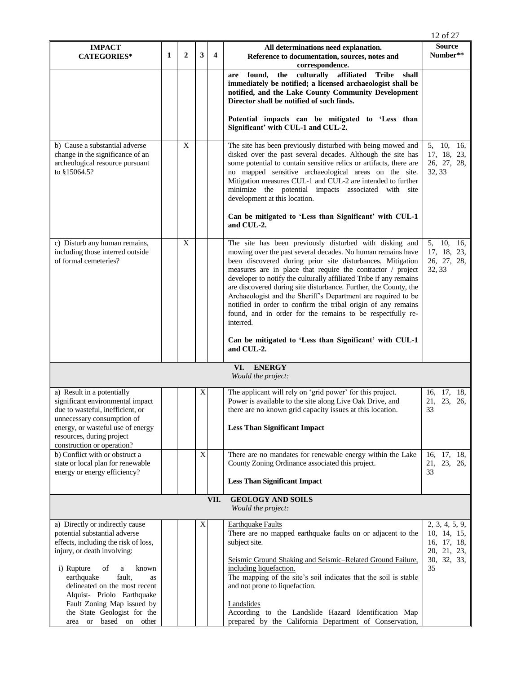|                                                                                                                                                                                                                                                                                                                                                                      |   |              |   |      |                                                                                                                                                                                                                                                                                                                                                                                                                                                                                                                                                                                                                                                                      | 12 of 27                                                                         |
|----------------------------------------------------------------------------------------------------------------------------------------------------------------------------------------------------------------------------------------------------------------------------------------------------------------------------------------------------------------------|---|--------------|---|------|----------------------------------------------------------------------------------------------------------------------------------------------------------------------------------------------------------------------------------------------------------------------------------------------------------------------------------------------------------------------------------------------------------------------------------------------------------------------------------------------------------------------------------------------------------------------------------------------------------------------------------------------------------------------|----------------------------------------------------------------------------------|
| <b>IMPACT</b><br><b>CATEGORIES*</b>                                                                                                                                                                                                                                                                                                                                  | 1 | $\mathbf{2}$ | 3 | 4    | All determinations need explanation.<br>Reference to documentation, sources, notes and<br>correspondence.                                                                                                                                                                                                                                                                                                                                                                                                                                                                                                                                                            | <b>Source</b><br>Number**                                                        |
|                                                                                                                                                                                                                                                                                                                                                                      |   |              |   |      | are found,<br>the<br>culturally affiliated<br><b>Tribe</b><br>shall<br>immediately be notified; a licensed archaeologist shall be<br>notified, and the Lake County Community Development<br>Director shall be notified of such finds.<br>Potential impacts can be mitigated to 'Less than<br>Significant' with CUL-1 and CUL-2.                                                                                                                                                                                                                                                                                                                                      |                                                                                  |
| b) Cause a substantial adverse<br>change in the significance of an<br>archeological resource pursuant<br>to §15064.5?                                                                                                                                                                                                                                                |   | X            |   |      | The site has been previously disturbed with being mowed and<br>disked over the past several decades. Although the site has<br>some potential to contain sensitive relics or artifacts, there are<br>no mapped sensitive archaeological areas on the site.<br>Mitigation measures CUL-1 and CUL-2 are intended to further<br>minimize the potential impacts associated with site<br>development at this location.<br>Can be mitigated to 'Less than Significant' with CUL-1<br>and CUL-2.                                                                                                                                                                             | 5, 10,<br>16,<br>17, 18, 23,<br>26, 27, 28,<br>32, 33                            |
| c) Disturb any human remains,<br>including those interred outside<br>of formal cemeteries?                                                                                                                                                                                                                                                                           |   | $\mathbf X$  |   |      | The site has been previously disturbed with disking and<br>mowing over the past several decades. No human remains have<br>been discovered during prior site disturbances. Mitigation<br>measures are in place that require the contractor / project<br>developer to notify the culturally affiliated Tribe if any remains<br>are discovered during site disturbance. Further, the County, the<br>Archaeologist and the Sheriff's Department are required to be<br>notified in order to confirm the tribal origin of any remains<br>found, and in order for the remains to be respectfully re-<br>interred.<br>Can be mitigated to 'Less than Significant' with CUL-1 | 5, 10, 16,<br>17, 18, 23,<br>26, 27, 28,<br>32, 33                               |
|                                                                                                                                                                                                                                                                                                                                                                      |   |              |   |      | and CUL-2.                                                                                                                                                                                                                                                                                                                                                                                                                                                                                                                                                                                                                                                           |                                                                                  |
|                                                                                                                                                                                                                                                                                                                                                                      |   |              |   |      | <b>ENERGY</b><br>VI.<br>Would the project:                                                                                                                                                                                                                                                                                                                                                                                                                                                                                                                                                                                                                           |                                                                                  |
| a) Result in a potentially<br>significant environmental impact<br>due to wasteful, inefficient, or<br>unnecessary consumption of<br>energy, or wasteful use of energy<br>resources, during project<br>construction or operation?                                                                                                                                     |   |              | Χ |      | The applicant will rely on 'grid power' for this project.<br>Power is available to the site along Live Oak Drive, and<br>there are no known grid capacity issues at this location.<br><b>Less Than Significant Impact</b>                                                                                                                                                                                                                                                                                                                                                                                                                                            | 16, 17, 18,<br>21, 23, 26,<br>33                                                 |
| b) Conflict with or obstruct a<br>state or local plan for renewable<br>energy or energy efficiency?                                                                                                                                                                                                                                                                  |   |              | X |      | There are no mandates for renewable energy within the Lake<br>County Zoning Ordinance associated this project.<br><b>Less Than Significant Impact</b>                                                                                                                                                                                                                                                                                                                                                                                                                                                                                                                | 16, 17, 18,<br>21, 23, 26,<br>33                                                 |
|                                                                                                                                                                                                                                                                                                                                                                      |   |              |   | VII. | <b>GEOLOGY AND SOILS</b><br>Would the project:                                                                                                                                                                                                                                                                                                                                                                                                                                                                                                                                                                                                                       |                                                                                  |
| a) Directly or indirectly cause<br>potential substantial adverse<br>effects, including the risk of loss,<br>injury, or death involving:<br>i) Rupture<br>of<br>known<br>$\rm{a}$<br>earthquake<br>fault.<br>as<br>delineated on the most recent<br>Alquist- Priolo Earthquake<br>Fault Zoning Map issued by<br>the State Geologist for the<br>area or based on other |   |              | X |      | <b>Earthquake Faults</b><br>There are no mapped earthquake faults on or adjacent to the<br>subject site.<br>Seismic Ground Shaking and Seismic-Related Ground Failure,<br>including liquefaction.<br>The mapping of the site's soil indicates that the soil is stable<br>and not prone to liquefaction.<br><b>Landslides</b><br>According to the Landslide Hazard Identification Map<br>prepared by the California Department of Conservation,                                                                                                                                                                                                                       | 2, 3, 4, 5, 9,<br>10, 14, 15,<br>16, 17, 18,<br>20, 21, 23,<br>30, 32, 33,<br>35 |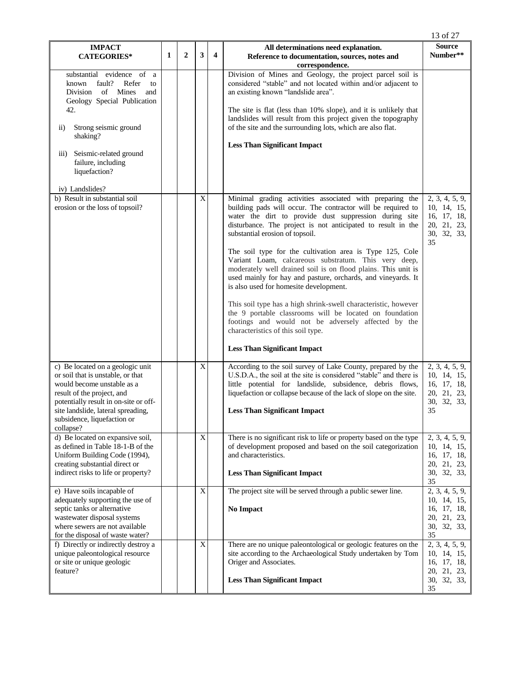|                                                                                                                                                                                                                                                                                              |   |              |   |                         |                                                                                                                                                                                                                                                                                                                                                                                                                                                                                                                                                                                                                                                                                                                                                                                                                                                       | 13 of 27                                                                         |
|----------------------------------------------------------------------------------------------------------------------------------------------------------------------------------------------------------------------------------------------------------------------------------------------|---|--------------|---|-------------------------|-------------------------------------------------------------------------------------------------------------------------------------------------------------------------------------------------------------------------------------------------------------------------------------------------------------------------------------------------------------------------------------------------------------------------------------------------------------------------------------------------------------------------------------------------------------------------------------------------------------------------------------------------------------------------------------------------------------------------------------------------------------------------------------------------------------------------------------------------------|----------------------------------------------------------------------------------|
| <b>IMPACT</b><br><b>CATEGORIES*</b>                                                                                                                                                                                                                                                          | 1 | $\mathbf{2}$ | 3 | $\overline{\mathbf{4}}$ | All determinations need explanation.<br>Reference to documentation, sources, notes and<br>correspondence.                                                                                                                                                                                                                                                                                                                                                                                                                                                                                                                                                                                                                                                                                                                                             | <b>Source</b><br>Number**                                                        |
| substantial evidence of a<br>fault?<br>Refer<br>known<br>to<br>of Mines<br>Division<br>and<br>Geology Special Publication<br>42.<br>Strong seismic ground<br>$\rm ii)$<br>shaking?<br>Seismic-related ground<br>$\overline{111}$ )<br>failure, including<br>liquefaction?<br>iv) Landslides? |   |              |   |                         | Division of Mines and Geology, the project parcel soil is<br>considered "stable" and not located within and/or adjacent to<br>an existing known "landslide area".<br>The site is flat (less than 10% slope), and it is unlikely that<br>landslides will result from this project given the topography<br>of the site and the surrounding lots, which are also flat.<br><b>Less Than Significant Impact</b>                                                                                                                                                                                                                                                                                                                                                                                                                                            |                                                                                  |
| b) Result in substantial soil<br>erosion or the loss of topsoil?                                                                                                                                                                                                                             |   |              | X |                         | Minimal grading activities associated with preparing the<br>building pads will occur. The contractor will be required to<br>water the dirt to provide dust suppression during site<br>disturbance. The project is not anticipated to result in the<br>substantial erosion of topsoil.<br>The soil type for the cultivation area is Type 125, Cole<br>Variant Loam, calcareous substratum. This very deep,<br>moderately well drained soil is on flood plains. This unit is<br>used mainly for hay and pasture, orchards, and vineyards. It<br>is also used for homesite development.<br>This soil type has a high shrink-swell characteristic, however<br>the 9 portable classrooms will be located on foundation<br>footings and would not be adversely affected by the<br>characteristics of this soil type.<br><b>Less Than Significant Impact</b> | 2, 3, 4, 5, 9,<br>10, 14, 15,<br>16, 17, 18,<br>20, 21, 23,<br>30, 32, 33,<br>35 |
| c) Be located on a geologic unit<br>or soil that is unstable, or that<br>would become unstable as a<br>result of the project, and<br>potentially result in on-site or off-<br>site landslide, lateral spreading,<br>subsidence, liquefaction or<br>collapse?                                 |   |              | X |                         | According to the soil survey of Lake County, prepared by the<br>U.S.D.A., the soil at the site is considered "stable" and there is<br>little potential for landslide, subsidence, debris flows,<br>liquefaction or collapse because of the lack of slope on the site.<br><b>Less Than Significant Impact</b>                                                                                                                                                                                                                                                                                                                                                                                                                                                                                                                                          | 2, 3, 4, 5, 9,<br>10, 14, 15,<br>16, 17, 18,<br>20, 21, 23,<br>30, 32, 33,<br>35 |
| d) Be located on expansive soil,<br>as defined in Table 18-1-B of the<br>Uniform Building Code (1994),<br>creating substantial direct or<br>indirect risks to life or property?                                                                                                              |   |              | X |                         | There is no significant risk to life or property based on the type<br>of development proposed and based on the soil categorization<br>and characteristics.<br><b>Less Than Significant Impact</b>                                                                                                                                                                                                                                                                                                                                                                                                                                                                                                                                                                                                                                                     | 2, 3, 4, 5, 9,<br>10, 14, 15,<br>16, 17, 18,<br>20, 21, 23,<br>30, 32, 33,<br>35 |
| e) Have soils incapable of<br>adequately supporting the use of<br>septic tanks or alternative<br>wastewater disposal systems<br>where sewers are not available<br>for the disposal of waste water?                                                                                           |   |              | X |                         | The project site will be served through a public sewer line.<br><b>No Impact</b>                                                                                                                                                                                                                                                                                                                                                                                                                                                                                                                                                                                                                                                                                                                                                                      | 2, 3, 4, 5, 9,<br>10, 14, 15,<br>16, 17, 18,<br>20, 21, 23,<br>30, 32, 33,<br>35 |
| f) Directly or indirectly destroy a<br>unique paleontological resource<br>or site or unique geologic<br>feature?                                                                                                                                                                             |   |              | X |                         | There are no unique paleontological or geologic features on the<br>site according to the Archaeological Study undertaken by Tom<br>Origer and Associates.<br><b>Less Than Significant Impact</b>                                                                                                                                                                                                                                                                                                                                                                                                                                                                                                                                                                                                                                                      | 2, 3, 4, 5, 9,<br>10, 14, 15,<br>16, 17, 18,<br>20, 21, 23,<br>30, 32, 33,<br>35 |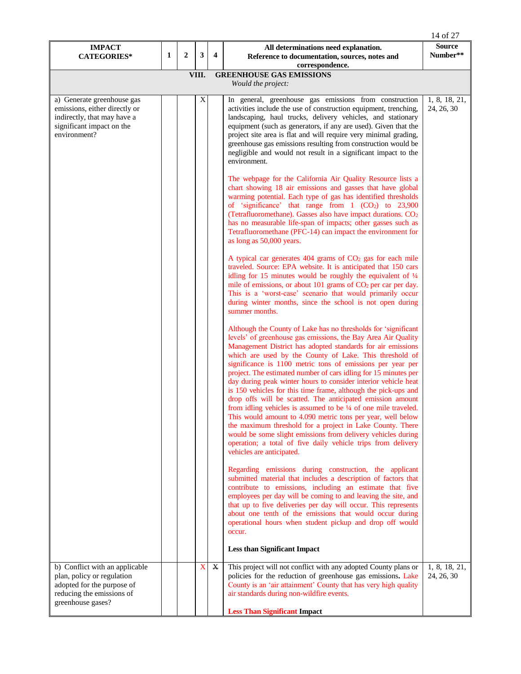|                                                                                                                                              |   |                |       |   |                                                                                                                                                                                                                                                                                                                                                                                                                                                                                                                                                                                                                                                                                                                                                                                                                                                                                                                                                          | 14 of 27                    |
|----------------------------------------------------------------------------------------------------------------------------------------------|---|----------------|-------|---|----------------------------------------------------------------------------------------------------------------------------------------------------------------------------------------------------------------------------------------------------------------------------------------------------------------------------------------------------------------------------------------------------------------------------------------------------------------------------------------------------------------------------------------------------------------------------------------------------------------------------------------------------------------------------------------------------------------------------------------------------------------------------------------------------------------------------------------------------------------------------------------------------------------------------------------------------------|-----------------------------|
| <b>IMPACT</b><br><b>CATEGORIES*</b>                                                                                                          | 1 | $\overline{2}$ | 3     | 4 | All determinations need explanation.<br>Reference to documentation, sources, notes and<br>correspondence.                                                                                                                                                                                                                                                                                                                                                                                                                                                                                                                                                                                                                                                                                                                                                                                                                                                | <b>Source</b><br>Number**   |
|                                                                                                                                              |   |                | VIII. |   | <b>GREENHOUSE GAS EMISSIONS</b>                                                                                                                                                                                                                                                                                                                                                                                                                                                                                                                                                                                                                                                                                                                                                                                                                                                                                                                          |                             |
|                                                                                                                                              |   |                |       |   | Would the project:                                                                                                                                                                                                                                                                                                                                                                                                                                                                                                                                                                                                                                                                                                                                                                                                                                                                                                                                       |                             |
| a) Generate greenhouse gas<br>emissions, either directly or<br>indirectly, that may have a<br>significant impact on the<br>environment?      |   |                | X     |   | In general, greenhouse gas emissions from construction<br>activities include the use of construction equipment, trenching,<br>landscaping, haul trucks, delivery vehicles, and stationary<br>equipment (such as generators, if any are used). Given that the<br>project site area is flat and will require very minimal grading,<br>greenhouse gas emissions resulting from construction would be<br>negligible and would not result in a significant impact to the<br>environment.                                                                                                                                                                                                                                                                                                                                                                                                                                                                      | 1, 8, 18, 21,<br>24, 26, 30 |
|                                                                                                                                              |   |                |       |   | The webpage for the California Air Quality Resource lists a<br>chart showing 18 air emissions and gasses that have global<br>warming potential. Each type of gas has identified thresholds<br>of 'significance' that range from $1 (CO2)$ to $23,900$<br>(Tetrafluoromethane). Gasses also have impact durations. CO <sub>2</sub><br>has no measurable life-span of impacts; other gasses such as<br>Tetrafluoromethane (PFC-14) can impact the environment for<br>as long as 50,000 years.                                                                                                                                                                                                                                                                                                                                                                                                                                                              |                             |
|                                                                                                                                              |   |                |       |   | A typical car generates $404$ grams of $CO2$ gas for each mile<br>traveled. Source: EPA website. It is anticipated that 150 cars<br>idling for 15 minutes would be roughly the equivalent of $\frac{1}{4}$<br>mile of emissions, or about 101 grams of CO <sub>2</sub> per car per day.<br>This is a 'worst-case' scenario that would primarily occur<br>during winter months, since the school is not open during<br>summer months.                                                                                                                                                                                                                                                                                                                                                                                                                                                                                                                     |                             |
|                                                                                                                                              |   |                |       |   | Although the County of Lake has no thresholds for 'significant<br>levels' of greenhouse gas emissions, the Bay Area Air Quality<br>Management District has adopted standards for air emissions<br>which are used by the County of Lake. This threshold of<br>significance is 1100 metric tons of emissions per year per<br>project. The estimated number of cars idling for 15 minutes per<br>day during peak winter hours to consider interior vehicle heat<br>is 150 vehicles for this time frame, although the pick-ups and<br>drop offs will be scatted. The anticipated emission amount<br>from idling vehicles is assumed to be 1/4 of one mile traveled.<br>This would amount to 4.090 metric tons per year, well below<br>the maximum threshold for a project in Lake County. There<br>would be some slight emissions from delivery vehicles during<br>operation; a total of five daily vehicle trips from delivery<br>vehicles are anticipated. |                             |
|                                                                                                                                              |   |                |       |   | Regarding emissions during construction, the applicant<br>submitted material that includes a description of factors that<br>contribute to emissions, including an estimate that five<br>employees per day will be coming to and leaving the site, and<br>that up to five deliveries per day will occur. This represents<br>about one tenth of the emissions that would occur during<br>operational hours when student pickup and drop off would<br>occur.                                                                                                                                                                                                                                                                                                                                                                                                                                                                                                |                             |
|                                                                                                                                              |   |                |       |   | <b>Less than Significant Impact</b>                                                                                                                                                                                                                                                                                                                                                                                                                                                                                                                                                                                                                                                                                                                                                                                                                                                                                                                      |                             |
| b) Conflict with an applicable<br>plan, policy or regulation<br>adopted for the purpose of<br>reducing the emissions of<br>greenhouse gases? |   |                | X     | X | This project will not conflict with any adopted County plans or<br>policies for the reduction of greenhouse gas emissions. Lake<br>County is an 'air attainment' County that has very high quality<br>air standards during non-wildfire events.                                                                                                                                                                                                                                                                                                                                                                                                                                                                                                                                                                                                                                                                                                          | 1, 8, 18, 21,<br>24, 26, 30 |
|                                                                                                                                              |   |                |       |   | <b>Less Than Significant Impact</b>                                                                                                                                                                                                                                                                                                                                                                                                                                                                                                                                                                                                                                                                                                                                                                                                                                                                                                                      |                             |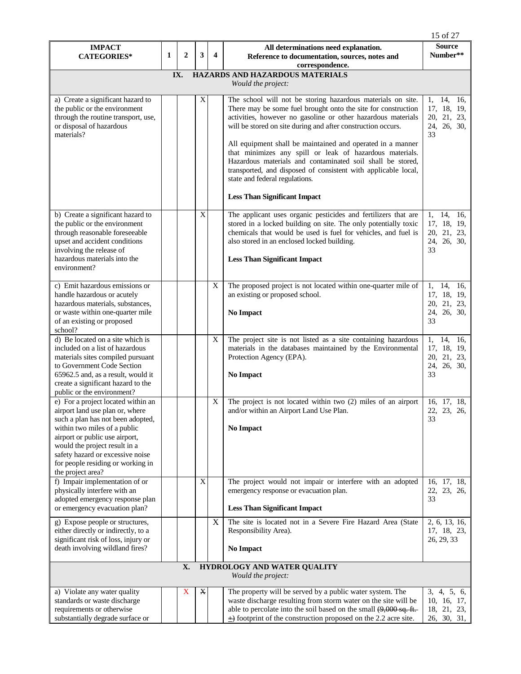|                                                                                                                                                                                                                                                                                                             |              |                |   |   |                                                                                                                                                                                                                                                                                                                                                                                                                                                                                                                                                                                                 | 15 of 27                                                            |
|-------------------------------------------------------------------------------------------------------------------------------------------------------------------------------------------------------------------------------------------------------------------------------------------------------------|--------------|----------------|---|---|-------------------------------------------------------------------------------------------------------------------------------------------------------------------------------------------------------------------------------------------------------------------------------------------------------------------------------------------------------------------------------------------------------------------------------------------------------------------------------------------------------------------------------------------------------------------------------------------------|---------------------------------------------------------------------|
| <b>IMPACT</b><br><b>CATEGORIES*</b>                                                                                                                                                                                                                                                                         | $\mathbf{1}$ | $\overline{2}$ | 3 | 4 | All determinations need explanation.<br>Reference to documentation, sources, notes and<br>correspondence.                                                                                                                                                                                                                                                                                                                                                                                                                                                                                       | <b>Source</b><br>Number**                                           |
|                                                                                                                                                                                                                                                                                                             |              | IX.            |   |   | <b>HAZARDS AND HAZARDOUS MATERIALS</b><br>Would the project:                                                                                                                                                                                                                                                                                                                                                                                                                                                                                                                                    |                                                                     |
| a) Create a significant hazard to<br>the public or the environment<br>through the routine transport, use,<br>or disposal of hazardous<br>materials?                                                                                                                                                         |              |                | X |   | The school will not be storing hazardous materials on site.<br>There may be some fuel brought onto the site for construction<br>activities, however no gasoline or other hazardous materials<br>will be stored on site during and after construction occurs.<br>All equipment shall be maintained and operated in a manner<br>that minimizes any spill or leak of hazardous materials.<br>Hazardous materials and contaminated soil shall be stored,<br>transported, and disposed of consistent with applicable local,<br>state and federal regulations.<br><b>Less Than Significant Impact</b> | 1, 14,<br>16,<br>17, 18, 19,<br>20, 21, 23,<br>24, 26, 30,<br>33    |
| b) Create a significant hazard to<br>the public or the environment<br>through reasonable foreseeable<br>upset and accident conditions<br>involving the release of<br>hazardous materials into the<br>environment?                                                                                           |              |                | X |   | The applicant uses organic pesticides and fertilizers that are<br>stored in a locked building on site. The only potentially toxic<br>chemicals that would be used is fuel for vehicles, and fuel is<br>also stored in an enclosed locked building.<br><b>Less Than Significant Impact</b>                                                                                                                                                                                                                                                                                                       | 1, 14,<br>16,<br>17, 18, 19,<br>20, 21, 23,<br>24, 26, 30,<br>33    |
| c) Emit hazardous emissions or<br>handle hazardous or acutely<br>hazardous materials, substances,<br>or waste within one-quarter mile<br>of an existing or proposed<br>school?                                                                                                                              |              |                |   | X | The proposed project is not located within one-quarter mile of<br>an existing or proposed school.<br><b>No Impact</b>                                                                                                                                                                                                                                                                                                                                                                                                                                                                           | 14,<br>1,<br>16,<br>17, 18, 19,<br>20, 21, 23,<br>24, 26, 30,<br>33 |
| d) Be located on a site which is<br>included on a list of hazardous<br>materials sites compiled pursuant<br>to Government Code Section<br>65962.5 and, as a result, would it<br>create a significant hazard to the<br>public or the environment?                                                            |              |                |   | X | The project site is not listed as a site containing hazardous<br>materials in the databases maintained by the Environmental<br>Protection Agency (EPA).<br><b>No Impact</b>                                                                                                                                                                                                                                                                                                                                                                                                                     | 14,<br>16,<br>1,<br>17, 18, 19,<br>20, 21, 23,<br>24, 26, 30,<br>33 |
| e) For a project located within an<br>airport land use plan or, where<br>such a plan has not been adopted,<br>within two miles of a public<br>airport or public use airport,<br>would the project result in a<br>safety hazard or excessive noise<br>for people residing or working in<br>the project area? |              |                |   | Χ | The project is not located within two (2) miles of an airport<br>and/or within an Airport Land Use Plan.<br><b>No Impact</b>                                                                                                                                                                                                                                                                                                                                                                                                                                                                    | 16, 17, 18,<br>22, 23, 26,<br>33                                    |
| f) Impair implementation of or<br>physically interfere with an<br>adopted emergency response plan<br>or emergency evacuation plan?                                                                                                                                                                          |              |                | X |   | The project would not impair or interfere with an adopted<br>emergency response or evacuation plan.<br><b>Less Than Significant Impact</b>                                                                                                                                                                                                                                                                                                                                                                                                                                                      | 16, 17, 18,<br>22, 23, 26,<br>33                                    |
| g) Expose people or structures,<br>either directly or indirectly, to a<br>significant risk of loss, injury or<br>death involving wildland fires?                                                                                                                                                            |              |                |   | X | The site is located not in a Severe Fire Hazard Area (State<br>Responsibility Area).<br><b>No Impact</b>                                                                                                                                                                                                                                                                                                                                                                                                                                                                                        | 2, 6, 13, 16,<br>17, 18, 23,<br>26, 29, 33                          |
|                                                                                                                                                                                                                                                                                                             |              | X.             |   |   | HYDROLOGY AND WATER QUALITY<br>Would the project:                                                                                                                                                                                                                                                                                                                                                                                                                                                                                                                                               |                                                                     |
| a) Violate any water quality<br>standards or waste discharge<br>requirements or otherwise<br>substantially degrade surface or                                                                                                                                                                               |              | X              | X |   | The property will be served by a public water system. The<br>waste discharge resulting from storm water on the site will be<br>able to percolate into the soil based on the small $(9,000 \text{ sq. ft.})$<br>$\rightarrow$ footprint of the construction proposed on the 2.2 acre site.                                                                                                                                                                                                                                                                                                       | 3, 4, 5, 6,<br>10, 16, 17,<br>18, 21, 23,<br>26, 30, 31,            |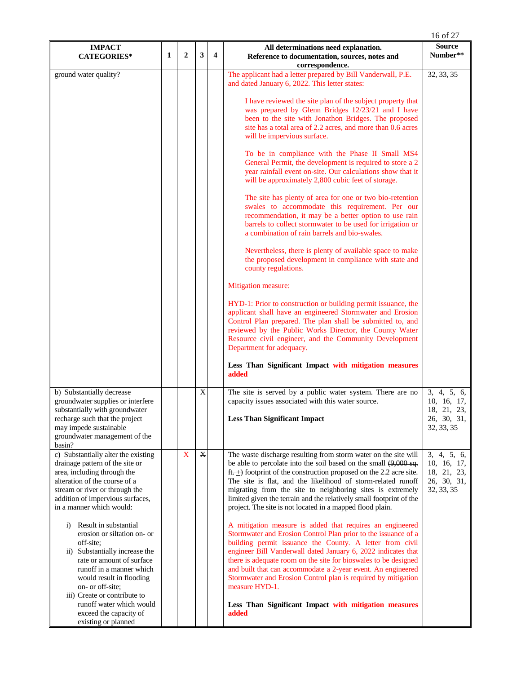|                                                                                                                                                                                                                                                 |              |                |             |   |                                                                                                                                                                                                                                                                                                                                                                                                                                                                                                                  | 16 of 27                                                               |
|-------------------------------------------------------------------------------------------------------------------------------------------------------------------------------------------------------------------------------------------------|--------------|----------------|-------------|---|------------------------------------------------------------------------------------------------------------------------------------------------------------------------------------------------------------------------------------------------------------------------------------------------------------------------------------------------------------------------------------------------------------------------------------------------------------------------------------------------------------------|------------------------------------------------------------------------|
| <b>IMPACT</b><br><b>CATEGORIES*</b>                                                                                                                                                                                                             | $\mathbf{1}$ | $\overline{2}$ | 3           | 4 | All determinations need explanation.<br>Reference to documentation, sources, notes and<br>correspondence.                                                                                                                                                                                                                                                                                                                                                                                                        | <b>Source</b><br>Number**                                              |
| ground water quality?                                                                                                                                                                                                                           |              |                |             |   | The applicant had a letter prepared by Bill Vanderwall, P.E.<br>and dated January 6, 2022. This letter states:                                                                                                                                                                                                                                                                                                                                                                                                   | 32, 33, 35                                                             |
|                                                                                                                                                                                                                                                 |              |                |             |   | I have reviewed the site plan of the subject property that<br>was prepared by Glenn Bridges 12/23/21 and I have<br>been to the site with Jonathon Bridges. The proposed<br>site has a total area of 2.2 acres, and more than 0.6 acres<br>will be impervious surface.                                                                                                                                                                                                                                            |                                                                        |
|                                                                                                                                                                                                                                                 |              |                |             |   | To be in compliance with the Phase II Small MS4<br>General Permit, the development is required to store a 2<br>year rainfall event on-site. Our calculations show that it<br>will be approximately 2,800 cubic feet of storage.                                                                                                                                                                                                                                                                                  |                                                                        |
|                                                                                                                                                                                                                                                 |              |                |             |   | The site has plenty of area for one or two bio-retention<br>swales to accommodate this requirement. Per our<br>recommendation, it may be a better option to use rain<br>barrels to collect stormwater to be used for irrigation or<br>a combination of rain barrels and bio-swales.                                                                                                                                                                                                                              |                                                                        |
|                                                                                                                                                                                                                                                 |              |                |             |   | Nevertheless, there is plenty of available space to make<br>the proposed development in compliance with state and<br>county regulations.                                                                                                                                                                                                                                                                                                                                                                         |                                                                        |
|                                                                                                                                                                                                                                                 |              |                |             |   | Mitigation measure:                                                                                                                                                                                                                                                                                                                                                                                                                                                                                              |                                                                        |
|                                                                                                                                                                                                                                                 |              |                |             |   | HYD-1: Prior to construction or building permit issuance, the<br>applicant shall have an engineered Stormwater and Erosion<br>Control Plan prepared. The plan shall be submitted to, and<br>reviewed by the Public Works Director, the County Water<br>Resource civil engineer, and the Community Development<br>Department for adequacy.                                                                                                                                                                        |                                                                        |
|                                                                                                                                                                                                                                                 |              |                |             |   | Less Than Significant Impact with mitigation measures<br>added                                                                                                                                                                                                                                                                                                                                                                                                                                                   |                                                                        |
| b) Substantially decrease<br>groundwater supplies or interfere<br>substantially with groundwater                                                                                                                                                |              |                | X           |   | The site is served by a public water system. There are no<br>capacity issues associated with this water source.                                                                                                                                                                                                                                                                                                                                                                                                  | 3, 4, 5, 6,<br>10, 16, 17,<br>18, 21, 23,                              |
| recharge such that the project<br>may impede sustainable<br>groundwater management of the<br>basin?                                                                                                                                             |              |                |             |   | <b>Less Than Significant Impact</b>                                                                                                                                                                                                                                                                                                                                                                                                                                                                              | 26, 30, 31,<br>32, 33, 35                                              |
| c) Substantially alter the existing<br>drainage pattern of the site or<br>area, including through the<br>alteration of the course of a<br>stream or river or through the<br>addition of impervious surfaces,<br>in a manner which would:        |              | X              | $\mathbf X$ |   | The waste discharge resulting from storm water on the site will<br>be able to percolate into the soil based on the small $(9,000 \text{ sq.})$<br>$f_{\text{t}}(t, \underline{+})$ footprint of the construction proposed on the 2.2 acre site.<br>The site is flat, and the likelihood of storm-related runoff<br>migrating from the site to neighboring sites is extremely<br>limited given the terrain and the relatively small footprint of the<br>project. The site is not located in a mapped flood plain. | 3, 4, 5, 6,<br>10, 16, 17,<br>18, 21, 23,<br>26, 30, 31,<br>32, 33, 35 |
| i) Result in substantial<br>erosion or siltation on- or<br>off-site;<br>ii) Substantially increase the<br>rate or amount of surface<br>runoff in a manner which<br>would result in flooding<br>on- or off-site;<br>iii) Create or contribute to |              |                |             |   | A mitigation measure is added that requires an engineered<br>Stormwater and Erosion Control Plan prior to the issuance of a<br>building permit issuance the County. A letter from civil<br>engineer Bill Vanderwall dated January 6, 2022 indicates that<br>there is adequate room on the site for bioswales to be designed<br>and built that can accommodate a 2-year event. An engineered<br>Stormwater and Erosion Control plan is required by mitigation<br>measure HYD-1.                                   |                                                                        |
| runoff water which would<br>exceed the capacity of<br>existing or planned                                                                                                                                                                       |              |                |             |   | Less Than Significant Impact with mitigation measures<br>added                                                                                                                                                                                                                                                                                                                                                                                                                                                   |                                                                        |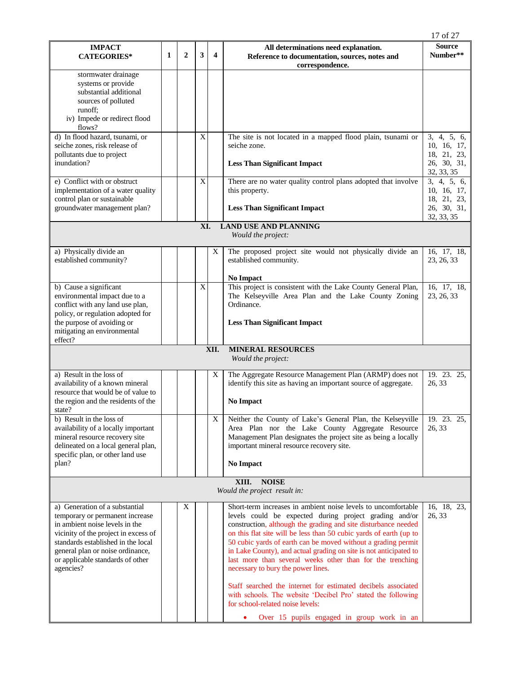|                                                                                                                                                                                                                                                                        |              |                |             |             |                                                                                                                                                                                                                                                                                                                                                                                                                                                                                                                                                                                                                                                                                                                             | 17 of 27                                                               |
|------------------------------------------------------------------------------------------------------------------------------------------------------------------------------------------------------------------------------------------------------------------------|--------------|----------------|-------------|-------------|-----------------------------------------------------------------------------------------------------------------------------------------------------------------------------------------------------------------------------------------------------------------------------------------------------------------------------------------------------------------------------------------------------------------------------------------------------------------------------------------------------------------------------------------------------------------------------------------------------------------------------------------------------------------------------------------------------------------------------|------------------------------------------------------------------------|
| <b>IMPACT</b><br><b>CATEGORIES*</b>                                                                                                                                                                                                                                    | $\mathbf{1}$ | $\overline{2}$ | 3           | 4           | All determinations need explanation.<br>Reference to documentation, sources, notes and<br>correspondence.                                                                                                                                                                                                                                                                                                                                                                                                                                                                                                                                                                                                                   | <b>Source</b><br>Number**                                              |
| stormwater drainage<br>systems or provide<br>substantial additional<br>sources of polluted<br>runoff:<br>iv) Impede or redirect flood<br>flows?                                                                                                                        |              |                |             |             |                                                                                                                                                                                                                                                                                                                                                                                                                                                                                                                                                                                                                                                                                                                             |                                                                        |
| d) In flood hazard, tsunami, or<br>seiche zones, risk release of<br>pollutants due to project<br>inundation?                                                                                                                                                           |              |                | $\mathbf X$ |             | The site is not located in a mapped flood plain, tsunami or<br>seiche zone.<br><b>Less Than Significant Impact</b>                                                                                                                                                                                                                                                                                                                                                                                                                                                                                                                                                                                                          | 3, 4, 5, 6,<br>10, 16, 17,<br>18, 21, 23,<br>26, 30, 31,<br>32, 33, 35 |
| e) Conflict with or obstruct<br>implementation of a water quality<br>control plan or sustainable<br>groundwater management plan?                                                                                                                                       |              |                | X           |             | There are no water quality control plans adopted that involve<br>this property.<br><b>Less Than Significant Impact</b>                                                                                                                                                                                                                                                                                                                                                                                                                                                                                                                                                                                                      | 3, 4, 5, 6,<br>10, 16, 17,<br>18, 21, 23,<br>26, 30, 31,<br>32, 33, 35 |
|                                                                                                                                                                                                                                                                        |              |                | XI.         |             | <b>LAND USE AND PLANNING</b><br>Would the project:                                                                                                                                                                                                                                                                                                                                                                                                                                                                                                                                                                                                                                                                          |                                                                        |
| a) Physically divide an<br>established community?                                                                                                                                                                                                                      |              |                |             | X           | The proposed project site would not physically divide an<br>established community.                                                                                                                                                                                                                                                                                                                                                                                                                                                                                                                                                                                                                                          | 16, 17, 18,<br>23, 26, 33                                              |
| b) Cause a significant<br>environmental impact due to a<br>conflict with any land use plan,<br>policy, or regulation adopted for<br>the purpose of avoiding or<br>mitigating an environmental<br>effect?                                                               |              |                | $\mathbf X$ |             | No Impact<br>This project is consistent with the Lake County General Plan,<br>The Kelseyville Area Plan and the Lake County Zoning<br>Ordinance.<br><b>Less Than Significant Impact</b>                                                                                                                                                                                                                                                                                                                                                                                                                                                                                                                                     | 16, 17, 18,<br>23, 26, 33                                              |
|                                                                                                                                                                                                                                                                        |              |                |             | XII.        | <b>MINERAL RESOURCES</b><br>Would the project:                                                                                                                                                                                                                                                                                                                                                                                                                                                                                                                                                                                                                                                                              |                                                                        |
| a) Result in the loss of<br>availability of a known mineral<br>resource that would be of value to<br>the region and the residents of the<br>state?                                                                                                                     |              |                |             | X           | The Aggregate Resource Management Plan (ARMP) does not<br>identify this site as having an important source of aggregate.<br>No Impact                                                                                                                                                                                                                                                                                                                                                                                                                                                                                                                                                                                       | 19. 23. 25,<br>26, 33                                                  |
| b) Result in the loss of<br>availability of a locally important<br>mineral resource recovery site<br>delineated on a local general plan,<br>specific plan, or other land use<br>plan?                                                                                  |              |                |             | $\mathbf X$ | Neither the County of Lake's General Plan, the Kelseyville<br>Area Plan nor the Lake County Aggregate Resource<br>Management Plan designates the project site as being a locally<br>important mineral resource recovery site.<br><b>No Impact</b>                                                                                                                                                                                                                                                                                                                                                                                                                                                                           | 19. 23. 25,<br>26, 33                                                  |
|                                                                                                                                                                                                                                                                        |              |                |             |             | <b>NOISE</b><br>XIII.<br>Would the project result in:                                                                                                                                                                                                                                                                                                                                                                                                                                                                                                                                                                                                                                                                       |                                                                        |
| a) Generation of a substantial<br>temporary or permanent increase<br>in ambient noise levels in the<br>vicinity of the project in excess of<br>standards established in the local<br>general plan or noise ordinance,<br>or applicable standards of other<br>agencies? |              | X              |             |             | Short-term increases in ambient noise levels to uncomfortable<br>levels could be expected during project grading and/or<br>construction, although the grading and site disturbance needed<br>on this flat site will be less than 50 cubic yards of earth (up to<br>50 cubic yards of earth can be moved without a grading permit<br>in Lake County), and actual grading on site is not anticipated to<br>last more than several weeks other than for the trenching<br>necessary to bury the power lines.<br>Staff searched the internet for estimated decibels associated<br>with schools. The website 'Decibel Pro' stated the following<br>for school-related noise levels:<br>Over 15 pupils engaged in group work in an | 16, 18, 23,<br>26, 33                                                  |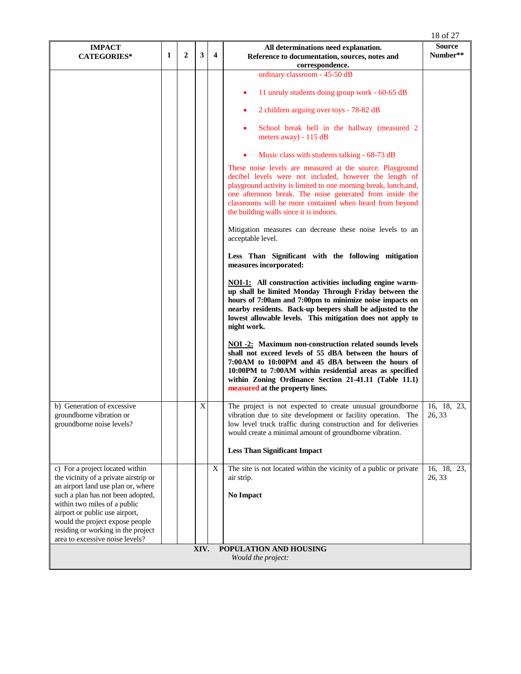|                                                                                                                                                                                                                 |   |   |      |                         |                                                                                                                                                                                                                                                                                                                                                             | 18 of 27                  |  |
|-----------------------------------------------------------------------------------------------------------------------------------------------------------------------------------------------------------------|---|---|------|-------------------------|-------------------------------------------------------------------------------------------------------------------------------------------------------------------------------------------------------------------------------------------------------------------------------------------------------------------------------------------------------------|---------------------------|--|
| <b>IMPACT</b><br><b>CATEGORIES*</b>                                                                                                                                                                             | 1 | 2 | 3    | $\overline{\mathbf{4}}$ | All determinations need explanation.<br>Reference to documentation, sources, notes and<br>correspondence.                                                                                                                                                                                                                                                   | <b>Source</b><br>Number** |  |
|                                                                                                                                                                                                                 |   |   |      |                         | ordinary classroom - 45-50 dB                                                                                                                                                                                                                                                                                                                               |                           |  |
|                                                                                                                                                                                                                 |   |   |      |                         | 11 unruly students doing group work - 60-65 dB<br>٠                                                                                                                                                                                                                                                                                                         |                           |  |
|                                                                                                                                                                                                                 |   |   |      |                         | 2 children arguing over toys - 78-82 dB<br>٠                                                                                                                                                                                                                                                                                                                |                           |  |
|                                                                                                                                                                                                                 |   |   |      |                         | School break bell in the hallway (measured 2<br>meters away) - 115 dB                                                                                                                                                                                                                                                                                       |                           |  |
|                                                                                                                                                                                                                 |   |   |      |                         | Music class with students talking - 68-73 dB<br>٠                                                                                                                                                                                                                                                                                                           |                           |  |
|                                                                                                                                                                                                                 |   |   |      |                         | These noise levels are measured at the source. Playground<br>decibel levels were not included, however the length of<br>playground activity is limited to one morning break, lunch, and,<br>one afternoon break. The noise generated from inside the<br>classrooms will be more contained when heard from beyond<br>the building walls since it is indoors. |                           |  |
|                                                                                                                                                                                                                 |   |   |      |                         | Mitigation measures can decrease these noise levels to an<br>acceptable level.                                                                                                                                                                                                                                                                              |                           |  |
|                                                                                                                                                                                                                 |   |   |      |                         | Less Than Significant with the following mitigation<br>measures incorporated:                                                                                                                                                                                                                                                                               |                           |  |
|                                                                                                                                                                                                                 |   |   |      |                         | <b>NOI-1:</b> All construction activities including engine warm-<br>up shall be limited Monday Through Friday between the<br>hours of 7:00am and 7:00pm to minimize noise impacts on<br>nearby residents. Back-up beepers shall be adjusted to the<br>lowest allowable levels. This mitigation does not apply to<br>night work.                             |                           |  |
|                                                                                                                                                                                                                 |   |   |      |                         | <b>NOI -2:</b> Maximum non-construction related sounds levels<br>shall not exceed levels of 55 dBA between the hours of<br>7:00AM to 10:00PM and 45 dBA between the hours of<br>10:00PM to 7:00AM within residential areas as specified<br>within Zoning Ordinance Section 21-41.11 (Table 11.1)<br>measured at the property lines.                         |                           |  |
| b) Generation of excessive<br>groundborne vibration or<br>groundborne noise levels?                                                                                                                             |   |   | X    |                         | The project is not expected to create unusual groundborne<br>vibration due to site development or facility operation. The<br>low level truck traffic during construction and for deliveries<br>would create a minimal amount of groundborne vibration.                                                                                                      | 16, 18, 23,<br>26, 33     |  |
|                                                                                                                                                                                                                 |   |   |      |                         | <b>Less Than Significant Impact</b>                                                                                                                                                                                                                                                                                                                         |                           |  |
| c) For a project located within<br>the vicinity of a private airstrip or<br>an airport land use plan or, where                                                                                                  |   |   |      | X                       | The site is not located within the vicinity of a public or private<br>air strip.                                                                                                                                                                                                                                                                            | 16, 18, 23,<br>26, 33     |  |
| such a plan has not been adopted,<br>within two miles of a public<br>airport or public use airport,<br>would the project expose people<br>residing or working in the project<br>area to excessive noise levels? |   |   |      |                         | <b>No Impact</b>                                                                                                                                                                                                                                                                                                                                            |                           |  |
|                                                                                                                                                                                                                 |   |   | XIV. |                         | POPULATION AND HOUSING                                                                                                                                                                                                                                                                                                                                      |                           |  |
| Would the project:                                                                                                                                                                                              |   |   |      |                         |                                                                                                                                                                                                                                                                                                                                                             |                           |  |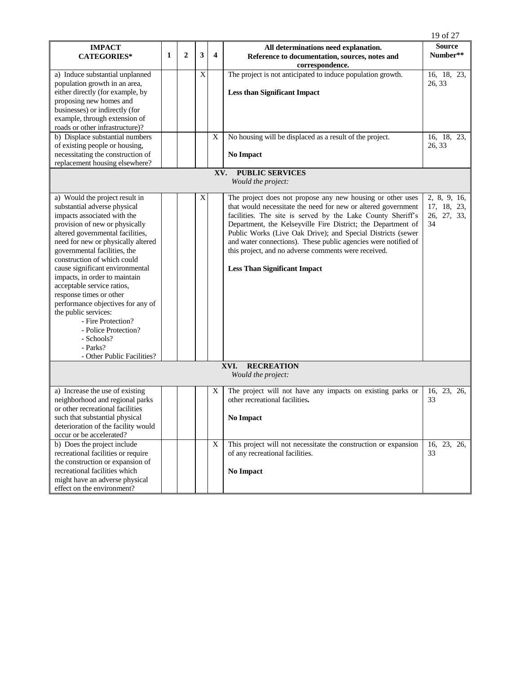|                                                                                                                                                                                                                                                                                                                                                                                                                                                                                                                                                                          |   |                |   |                         |                                                                                                                                                                                                                                                                                                                                                                                                                                                                                            | 19 of 27                                         |
|--------------------------------------------------------------------------------------------------------------------------------------------------------------------------------------------------------------------------------------------------------------------------------------------------------------------------------------------------------------------------------------------------------------------------------------------------------------------------------------------------------------------------------------------------------------------------|---|----------------|---|-------------------------|--------------------------------------------------------------------------------------------------------------------------------------------------------------------------------------------------------------------------------------------------------------------------------------------------------------------------------------------------------------------------------------------------------------------------------------------------------------------------------------------|--------------------------------------------------|
| <b>IMPACT</b><br><b>CATEGORIES*</b>                                                                                                                                                                                                                                                                                                                                                                                                                                                                                                                                      | 1 | $\overline{2}$ | 3 | $\overline{\mathbf{4}}$ | All determinations need explanation.<br>Reference to documentation, sources, notes and                                                                                                                                                                                                                                                                                                                                                                                                     | <b>Source</b><br>Number**                        |
|                                                                                                                                                                                                                                                                                                                                                                                                                                                                                                                                                                          |   |                |   |                         | correspondence.                                                                                                                                                                                                                                                                                                                                                                                                                                                                            |                                                  |
| a) Induce substantial unplanned<br>population growth in an area,<br>either directly (for example, by<br>proposing new homes and<br>businesses) or indirectly (for<br>example, through extension of<br>roads or other infrastructure)?                                                                                                                                                                                                                                                                                                                                    |   |                | X |                         | The project is not anticipated to induce population growth.<br><b>Less than Significant Impact</b>                                                                                                                                                                                                                                                                                                                                                                                         | 16, 18, 23,<br>26, 33                            |
| b) Displace substantial numbers<br>of existing people or housing,<br>necessitating the construction of<br>replacement housing elsewhere?                                                                                                                                                                                                                                                                                                                                                                                                                                 |   |                |   | X                       | No housing will be displaced as a result of the project.<br><b>No Impact</b>                                                                                                                                                                                                                                                                                                                                                                                                               | 16, 18, 23,<br>26, 33                            |
|                                                                                                                                                                                                                                                                                                                                                                                                                                                                                                                                                                          |   |                |   | XV.                     | <b>PUBLIC SERVICES</b>                                                                                                                                                                                                                                                                                                                                                                                                                                                                     |                                                  |
|                                                                                                                                                                                                                                                                                                                                                                                                                                                                                                                                                                          |   |                |   |                         | Would the project:                                                                                                                                                                                                                                                                                                                                                                                                                                                                         |                                                  |
| a) Would the project result in<br>substantial adverse physical<br>impacts associated with the<br>provision of new or physically<br>altered governmental facilities,<br>need for new or physically altered<br>governmental facilities, the<br>construction of which could<br>cause significant environmental<br>impacts, in order to maintain<br>acceptable service ratios,<br>response times or other<br>performance objectives for any of<br>the public services:<br>- Fire Protection?<br>- Police Protection?<br>- Schools?<br>- Parks?<br>- Other Public Facilities? |   |                | X |                         | The project does not propose any new housing or other uses<br>that would necessitate the need for new or altered government<br>facilities. The site is served by the Lake County Sheriff's<br>Department, the Kelseyville Fire District; the Department of<br>Public Works (Live Oak Drive); and Special Districts (sewer<br>and water connections). These public agencies were notified of<br>this project, and no adverse comments were received.<br><b>Less Than Significant Impact</b> | 2, 8, 9, 16,<br>17, 18, 23,<br>26, 27, 33,<br>34 |
|                                                                                                                                                                                                                                                                                                                                                                                                                                                                                                                                                                          |   |                |   |                         | <b>RECREATION</b><br>XVI.<br>Would the project:                                                                                                                                                                                                                                                                                                                                                                                                                                            |                                                  |
|                                                                                                                                                                                                                                                                                                                                                                                                                                                                                                                                                                          |   |                |   |                         |                                                                                                                                                                                                                                                                                                                                                                                                                                                                                            |                                                  |
| a) Increase the use of existing<br>neighborhood and regional parks<br>or other recreational facilities<br>such that substantial physical<br>deterioration of the facility would<br>occur or be accelerated?                                                                                                                                                                                                                                                                                                                                                              |   |                |   | X                       | The project will not have any impacts on existing parks or<br>other recreational facilities.<br>No Impact                                                                                                                                                                                                                                                                                                                                                                                  | 23.<br>16,<br>26.<br>33                          |
| b) Does the project include<br>recreational facilities or require<br>the construction or expansion of<br>recreational facilities which<br>might have an adverse physical<br>effect on the environment?                                                                                                                                                                                                                                                                                                                                                                   |   |                |   | X                       | This project will not necessitate the construction or expansion<br>of any recreational facilities.<br>No Impact                                                                                                                                                                                                                                                                                                                                                                            | 23, 26,<br>16,<br>33                             |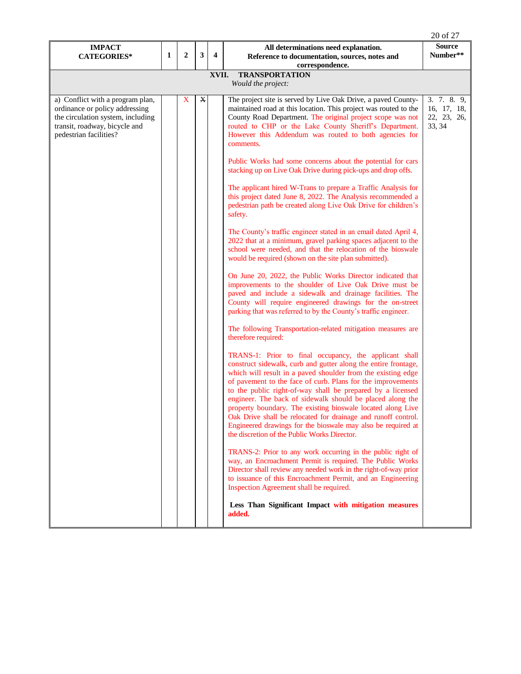|                                                                                                                                                                    |              |                  |              |                         |                                                                                                                                                                                                                                                                                                                                                                                                                                                                                                                                                                                                                                                                                                                                                                                                                                                                                                                                                                                                                                                                                                                                                                                                                                                                                                                                                                                                                                                                                                                                                                                                                                                                                                                                                                                                                                                                                                                                                                                          | 20 of 27                                            |
|--------------------------------------------------------------------------------------------------------------------------------------------------------------------|--------------|------------------|--------------|-------------------------|------------------------------------------------------------------------------------------------------------------------------------------------------------------------------------------------------------------------------------------------------------------------------------------------------------------------------------------------------------------------------------------------------------------------------------------------------------------------------------------------------------------------------------------------------------------------------------------------------------------------------------------------------------------------------------------------------------------------------------------------------------------------------------------------------------------------------------------------------------------------------------------------------------------------------------------------------------------------------------------------------------------------------------------------------------------------------------------------------------------------------------------------------------------------------------------------------------------------------------------------------------------------------------------------------------------------------------------------------------------------------------------------------------------------------------------------------------------------------------------------------------------------------------------------------------------------------------------------------------------------------------------------------------------------------------------------------------------------------------------------------------------------------------------------------------------------------------------------------------------------------------------------------------------------------------------------------------------------------------------|-----------------------------------------------------|
| <b>IMPACT</b><br><b>CATEGORIES*</b>                                                                                                                                | $\mathbf{1}$ | $\boldsymbol{2}$ | $\mathbf{3}$ | $\overline{\mathbf{4}}$ | All determinations need explanation.<br>Reference to documentation, sources, notes and<br>correspondence.                                                                                                                                                                                                                                                                                                                                                                                                                                                                                                                                                                                                                                                                                                                                                                                                                                                                                                                                                                                                                                                                                                                                                                                                                                                                                                                                                                                                                                                                                                                                                                                                                                                                                                                                                                                                                                                                                | <b>Source</b><br>Number**                           |
|                                                                                                                                                                    |              |                  |              | XVII.                   | <b>TRANSPORTATION</b>                                                                                                                                                                                                                                                                                                                                                                                                                                                                                                                                                                                                                                                                                                                                                                                                                                                                                                                                                                                                                                                                                                                                                                                                                                                                                                                                                                                                                                                                                                                                                                                                                                                                                                                                                                                                                                                                                                                                                                    |                                                     |
|                                                                                                                                                                    |              |                  |              |                         | Would the project:                                                                                                                                                                                                                                                                                                                                                                                                                                                                                                                                                                                                                                                                                                                                                                                                                                                                                                                                                                                                                                                                                                                                                                                                                                                                                                                                                                                                                                                                                                                                                                                                                                                                                                                                                                                                                                                                                                                                                                       |                                                     |
| a) Conflict with a program plan,<br>ordinance or policy addressing<br>the circulation system, including<br>transit, roadway, bicycle and<br>pedestrian facilities? |              | X                | $\mathbf X$  |                         | The project site is served by Live Oak Drive, a paved County-<br>maintained road at this location. This project was routed to the<br>County Road Department. The original project scope was not<br>routed to CHP or the Lake County Sheriff's Department.<br>However this Addendum was routed to both agencies for<br>comments.<br>Public Works had some concerns about the potential for cars<br>stacking up on Live Oak Drive during pick-ups and drop offs.<br>The applicant hired W-Trans to prepare a Traffic Analysis for<br>this project dated June 8, 2022. The Analysis recommended a<br>pedestrian path be created along Live Oak Drive for children's<br>safety.<br>The County's traffic engineer stated in an email dated April 4,<br>2022 that at a minimum, gravel parking spaces adjacent to the<br>school were needed, and that the relocation of the bioswale<br>would be required (shown on the site plan submitted).<br>On June 20, 2022, the Public Works Director indicated that<br>improvements to the shoulder of Live Oak Drive must be<br>paved and include a sidewalk and drainage facilities. The<br>County will require engineered drawings for the on-street<br>parking that was referred to by the County's traffic engineer.<br>The following Transportation-related mitigation measures are<br>therefore required:<br>TRANS-1: Prior to final occupancy, the applicant shall<br>construct sidewalk, curb and gutter along the entire frontage,<br>which will result in a paved shoulder from the existing edge<br>of pavement to the face of curb. Plans for the improvements<br>to the public right-of-way shall be prepared by a licensed<br>engineer. The back of sidewalk should be placed along the<br>property boundary. The existing bioswale located along Live<br>Oak Drive shall be relocated for drainage and runoff control.<br>Engineered drawings for the bioswale may also be required at<br>the discretion of the Public Works Director. | 3. 7. 8. 9,<br>16, 17, 18,<br>22, 23, 26,<br>33, 34 |
|                                                                                                                                                                    |              |                  |              |                         | TRANS-2: Prior to any work occurring in the public right of<br>way, an Encroachment Permit is required. The Public Works<br>Director shall review any needed work in the right-of-way prior<br>to issuance of this Encroachment Permit, and an Engineering<br>Inspection Agreement shall be required.                                                                                                                                                                                                                                                                                                                                                                                                                                                                                                                                                                                                                                                                                                                                                                                                                                                                                                                                                                                                                                                                                                                                                                                                                                                                                                                                                                                                                                                                                                                                                                                                                                                                                    |                                                     |
|                                                                                                                                                                    |              |                  |              |                         | Less Than Significant Impact with mitigation measures<br>added.                                                                                                                                                                                                                                                                                                                                                                                                                                                                                                                                                                                                                                                                                                                                                                                                                                                                                                                                                                                                                                                                                                                                                                                                                                                                                                                                                                                                                                                                                                                                                                                                                                                                                                                                                                                                                                                                                                                          |                                                     |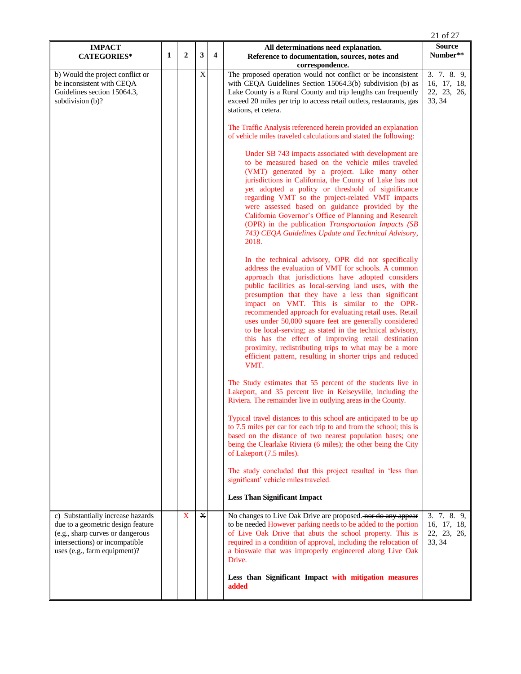|                                                                                                                                                                              |   |                |             |                         |                                                                                                                                                                                                                                                                                                                                                                                                                                                                                                                                                                                                                                                                                                       | 21 of 27                                            |
|------------------------------------------------------------------------------------------------------------------------------------------------------------------------------|---|----------------|-------------|-------------------------|-------------------------------------------------------------------------------------------------------------------------------------------------------------------------------------------------------------------------------------------------------------------------------------------------------------------------------------------------------------------------------------------------------------------------------------------------------------------------------------------------------------------------------------------------------------------------------------------------------------------------------------------------------------------------------------------------------|-----------------------------------------------------|
| <b>IMPACT</b><br><b>CATEGORIES*</b>                                                                                                                                          | 1 | $\overline{2}$ | 3           | $\overline{\mathbf{4}}$ | All determinations need explanation.<br>Reference to documentation, sources, notes and                                                                                                                                                                                                                                                                                                                                                                                                                                                                                                                                                                                                                | <b>Source</b><br>Number**                           |
|                                                                                                                                                                              |   |                |             |                         | correspondence.                                                                                                                                                                                                                                                                                                                                                                                                                                                                                                                                                                                                                                                                                       |                                                     |
| b) Would the project conflict or<br>be inconsistent with CEQA<br>Guidelines section 15064.3,<br>subdivision (b)?                                                             |   |                | X           |                         | The proposed operation would not conflict or be inconsistent<br>with CEQA Guidelines Section 15064.3(b) subdivision (b) as<br>Lake County is a Rural County and trip lengths can frequently<br>exceed 20 miles per trip to access retail outlets, restaurants, gas<br>stations, et cetera.                                                                                                                                                                                                                                                                                                                                                                                                            | 3. 7. 8. 9,<br>16, 17, 18,<br>22, 23, 26,<br>33, 34 |
|                                                                                                                                                                              |   |                |             |                         | The Traffic Analysis referenced herein provided an explanation<br>of vehicle miles traveled calculations and stated the following:                                                                                                                                                                                                                                                                                                                                                                                                                                                                                                                                                                    |                                                     |
|                                                                                                                                                                              |   |                |             |                         | Under SB 743 impacts associated with development are<br>to be measured based on the vehicle miles traveled<br>(VMT) generated by a project. Like many other<br>jurisdictions in California, the County of Lake has not<br>yet adopted a policy or threshold of significance<br>regarding VMT so the project-related VMT impacts<br>were assessed based on guidance provided by the<br>California Governor's Office of Planning and Research<br>(OPR) in the publication Transportation Impacts (SB<br>743) CEQA Guidelines Update and Technical Advisory,<br>2018.                                                                                                                                    |                                                     |
|                                                                                                                                                                              |   |                |             |                         | In the technical advisory, OPR did not specifically<br>address the evaluation of VMT for schools. A common<br>approach that jurisdictions have adopted considers<br>public facilities as local-serving land uses, with the<br>presumption that they have a less than significant<br>impact on VMT. This is similar to the OPR-<br>recommended approach for evaluating retail uses. Retail<br>uses under 50,000 square feet are generally considered<br>to be local-serving; as stated in the technical advisory,<br>this has the effect of improving retail destination<br>proximity, redistributing trips to what may be a more<br>efficient pattern, resulting in shorter trips and reduced<br>VMT. |                                                     |
|                                                                                                                                                                              |   |                |             |                         | The Study estimates that 55 percent of the students live in<br>Lakeport, and 35 percent live in Kelseyville, including the<br>Riviera. The remainder live in outlying areas in the County.                                                                                                                                                                                                                                                                                                                                                                                                                                                                                                            |                                                     |
|                                                                                                                                                                              |   |                |             |                         | Typical travel distances to this school are anticipated to be up<br>to 7.5 miles per car for each trip to and from the school; this is<br>based on the distance of two nearest population bases; one<br>being the Clearlake Riviera (6 miles); the other being the City<br>of Lakeport (7.5 miles).                                                                                                                                                                                                                                                                                                                                                                                                   |                                                     |
|                                                                                                                                                                              |   |                |             |                         | The study concluded that this project resulted in 'less than<br>significant' vehicle miles traveled.                                                                                                                                                                                                                                                                                                                                                                                                                                                                                                                                                                                                  |                                                     |
|                                                                                                                                                                              |   |                |             |                         | <b>Less Than Significant Impact</b>                                                                                                                                                                                                                                                                                                                                                                                                                                                                                                                                                                                                                                                                   |                                                     |
| c) Substantially increase hazards<br>due to a geometric design feature<br>(e.g., sharp curves or dangerous<br>intersections) or incompatible<br>uses (e.g., farm equipment)? |   | X              | $\mathbf X$ |                         | No changes to Live Oak Drive are proposed. nor do any appear<br>to be needed However parking needs to be added to the portion<br>of Live Oak Drive that abuts the school property. This is<br>required in a condition of approval, including the relocation of<br>a bioswale that was improperly engineered along Live Oak<br>Drive.                                                                                                                                                                                                                                                                                                                                                                  | 3. 7. 8. 9,<br>16, 17, 18,<br>22, 23, 26,<br>33, 34 |
|                                                                                                                                                                              |   |                |             |                         | Less than Significant Impact with mitigation measures<br>added                                                                                                                                                                                                                                                                                                                                                                                                                                                                                                                                                                                                                                        |                                                     |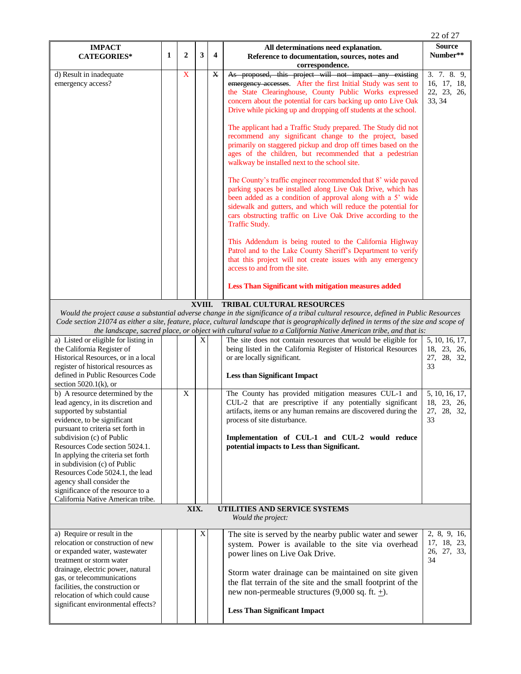|                                                                        |              |                  |        |                         |                                                                                                                                          | 22 of 27                      |
|------------------------------------------------------------------------|--------------|------------------|--------|-------------------------|------------------------------------------------------------------------------------------------------------------------------------------|-------------------------------|
| <b>IMPACT</b>                                                          | $\mathbf{1}$ | $\boldsymbol{2}$ | 3      | $\overline{\mathbf{4}}$ | All determinations need explanation.                                                                                                     | <b>Source</b><br>Number**     |
| <b>CATEGORIES*</b>                                                     |              |                  |        |                         | Reference to documentation, sources, notes and<br>correspondence.                                                                        |                               |
| d) Result in inadequate                                                |              | X                |        | $\mathbf X$             | As proposed, this project will not impact any existing                                                                                   | 3. 7. 8. 9,                   |
| emergency access?                                                      |              |                  |        |                         | emergency accesses. After the first Initial Study was sent to                                                                            | 16, 17, 18,                   |
|                                                                        |              |                  |        |                         | the State Clearinghouse, County Public Works expressed                                                                                   | 22, 23, 26,                   |
|                                                                        |              |                  |        |                         | concern about the potential for cars backing up onto Live Oak                                                                            | 33, 34                        |
|                                                                        |              |                  |        |                         | Drive while picking up and dropping off students at the school.                                                                          |                               |
|                                                                        |              |                  |        |                         |                                                                                                                                          |                               |
|                                                                        |              |                  |        |                         | The applicant had a Traffic Study prepared. The Study did not                                                                            |                               |
|                                                                        |              |                  |        |                         | recommend any significant change to the project, based<br>primarily on staggered pickup and drop off times based on the                  |                               |
|                                                                        |              |                  |        |                         | ages of the children, but recommended that a pedestrian                                                                                  |                               |
|                                                                        |              |                  |        |                         | walkway be installed next to the school site.                                                                                            |                               |
|                                                                        |              |                  |        |                         | The County's traffic engineer recommended that 8' wide paved                                                                             |                               |
|                                                                        |              |                  |        |                         | parking spaces be installed along Live Oak Drive, which has                                                                              |                               |
|                                                                        |              |                  |        |                         | been added as a condition of approval along with a 5' wide                                                                               |                               |
|                                                                        |              |                  |        |                         | sidewalk and gutters, and which will reduce the potential for                                                                            |                               |
|                                                                        |              |                  |        |                         | cars obstructing traffic on Live Oak Drive according to the                                                                              |                               |
|                                                                        |              |                  |        |                         | Traffic Study.                                                                                                                           |                               |
|                                                                        |              |                  |        |                         | This Addendum is being routed to the California Highway                                                                                  |                               |
|                                                                        |              |                  |        |                         | Patrol and to the Lake County Sheriff's Department to verify                                                                             |                               |
|                                                                        |              |                  |        |                         | that this project will not create issues with any emergency                                                                              |                               |
|                                                                        |              |                  |        |                         | access to and from the site.                                                                                                             |                               |
|                                                                        |              |                  |        |                         | <b>Less Than Significant with mitigation measures added</b>                                                                              |                               |
|                                                                        |              |                  | XVIII. |                         | TRIBAL CULTURAL RESOURCES                                                                                                                |                               |
|                                                                        |              |                  |        |                         | Would the project cause a substantial adverse change in the significance of a tribal cultural resource, defined in Public Resources      |                               |
|                                                                        |              |                  |        |                         | Code section 21074 as either a site, feature, place, cultural landscape that is geographically defined in terms of the size and scope of |                               |
|                                                                        |              |                  |        |                         | the landscape, sacred place, or object with cultural value to a California Native American tribe, and that is:                           |                               |
| a) Listed or eligible for listing in<br>the California Register of     |              |                  | X      |                         | The site does not contain resources that would be eligible for<br>being listed in the California Register of Historical Resources        | 5, 10, 16, 17,<br>18, 23, 26, |
| Historical Resources, or in a local                                    |              |                  |        |                         | or are locally significant.                                                                                                              | 27, 28, 32,                   |
| register of historical resources as                                    |              |                  |        |                         |                                                                                                                                          | 33                            |
| defined in Public Resources Code                                       |              |                  |        |                         | <b>Less than Significant Impact</b>                                                                                                      |                               |
| section $5020.1(k)$ , or                                               |              |                  |        |                         |                                                                                                                                          |                               |
| b) A resource determined by the                                        |              | X                |        |                         | The County has provided mitigation measures CUL-1 and                                                                                    | 5, 10, 16, 17,                |
| lead agency, in its discretion and                                     |              |                  |        |                         | CUL-2 that are prescriptive if any potentially significant                                                                               | 18, 23, 26,                   |
| supported by substantial                                               |              |                  |        |                         | artifacts, items or any human remains are discovered during the                                                                          | 27, 28, 32,                   |
| evidence, to be significant<br>pursuant to criteria set forth in       |              |                  |        |                         | process of site disturbance.                                                                                                             | 33                            |
| subdivision (c) of Public                                              |              |                  |        |                         | Implementation of CUL-1 and CUL-2 would reduce                                                                                           |                               |
| Resources Code section 5024.1.                                         |              |                  |        |                         | potential impacts to Less than Significant.                                                                                              |                               |
| In applying the criteria set forth                                     |              |                  |        |                         |                                                                                                                                          |                               |
| in subdivision (c) of Public                                           |              |                  |        |                         |                                                                                                                                          |                               |
| Resources Code 5024.1, the lead                                        |              |                  |        |                         |                                                                                                                                          |                               |
| agency shall consider the                                              |              |                  |        |                         |                                                                                                                                          |                               |
| significance of the resource to a<br>California Native American tribe. |              |                  |        |                         |                                                                                                                                          |                               |
|                                                                        |              |                  | XIX.   |                         | UTILITIES AND SERVICE SYSTEMS                                                                                                            |                               |
|                                                                        |              |                  |        |                         | Would the project:                                                                                                                       |                               |
| a) Require or result in the                                            |              |                  | X      |                         | The site is served by the nearby public water and sewer                                                                                  | 2, 8, 9, 16,                  |
| relocation or construction of new                                      |              |                  |        |                         | system. Power is available to the site via overhead                                                                                      | 17, 18, 23,                   |
| or expanded water, wastewater                                          |              |                  |        |                         | power lines on Live Oak Drive.                                                                                                           | 26, 27, 33,                   |
| treatment or storm water<br>drainage, electric power, natural          |              |                  |        |                         |                                                                                                                                          | 34                            |
| gas, or telecommunications                                             |              |                  |        |                         | Storm water drainage can be maintained on site given                                                                                     |                               |
| facilities, the construction or                                        |              |                  |        |                         | the flat terrain of the site and the small footprint of the                                                                              |                               |
| relocation of which could cause                                        |              |                  |        |                         | new non-permeable structures $(9,000 \text{ sq. ft.} \pm)$ .                                                                             |                               |
| significant environmental effects?                                     |              |                  |        |                         | <b>Less Than Significant Impact</b>                                                                                                      |                               |
|                                                                        |              |                  |        |                         |                                                                                                                                          |                               |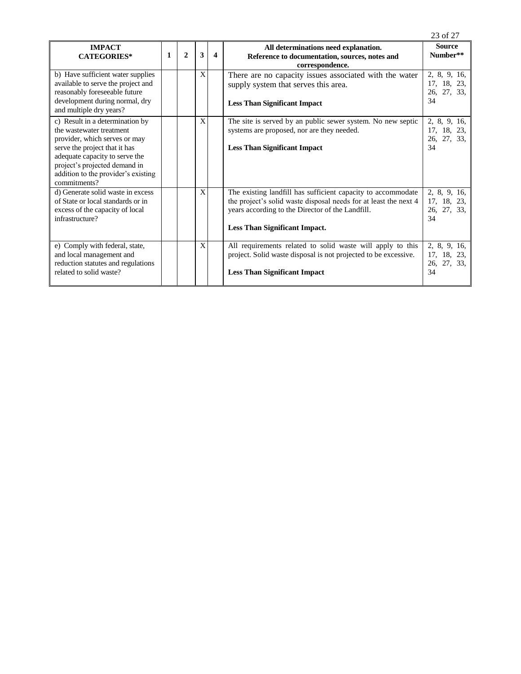|                                                                                                                                                                                                                                                         |   |                |   |                  |                                                                                                                                                                                                                              | 23 of 27                                         |
|---------------------------------------------------------------------------------------------------------------------------------------------------------------------------------------------------------------------------------------------------------|---|----------------|---|------------------|------------------------------------------------------------------------------------------------------------------------------------------------------------------------------------------------------------------------------|--------------------------------------------------|
| <b>IMPACT</b><br><b>CATEGORIES*</b>                                                                                                                                                                                                                     | 1 | $\overline{2}$ | 3 | $\boldsymbol{4}$ | All determinations need explanation.<br>Reference to documentation, sources, notes and<br>correspondence.                                                                                                                    | <b>Source</b><br>Number**                        |
| b) Have sufficient water supplies<br>available to serve the project and<br>reasonably foreseeable future<br>development during normal, dry<br>and multiple dry years?                                                                                   |   |                | X |                  | There are no capacity issues associated with the water<br>supply system that serves this area.<br><b>Less Than Significant Impact</b>                                                                                        | 2, 8, 9, 16,<br>17, 18, 23,<br>26, 27, 33,<br>34 |
| c) Result in a determination by<br>the wastewater treatment<br>provider, which serves or may<br>serve the project that it has<br>adequate capacity to serve the<br>project's projected demand in<br>addition to the provider's existing<br>commitments? |   |                | X |                  | The site is served by an public sewer system. No new septic<br>systems are proposed, nor are they needed.<br><b>Less Than Significant Impact</b>                                                                             | 2, 8, 9, 16,<br>17, 18, 23,<br>26, 27, 33,<br>34 |
| d) Generate solid waste in excess<br>of State or local standards or in<br>excess of the capacity of local<br>infrastructure?                                                                                                                            |   |                | X |                  | The existing landfill has sufficient capacity to accommodate<br>the project's solid waste disposal needs for at least the next 4<br>years according to the Director of the Landfill.<br><b>Less Than Significant Impact.</b> | 2, 8, 9, 16,<br>17, 18, 23,<br>26, 27, 33,<br>34 |
| e) Comply with federal, state,<br>and local management and<br>reduction statutes and regulations<br>related to solid waste?                                                                                                                             |   |                | X |                  | All requirements related to solid waste will apply to this<br>project. Solid waste disposal is not projected to be excessive.<br><b>Less Than Significant Impact</b>                                                         | 2, 8, 9, 16,<br>17, 18, 23,<br>26, 27, 33,<br>34 |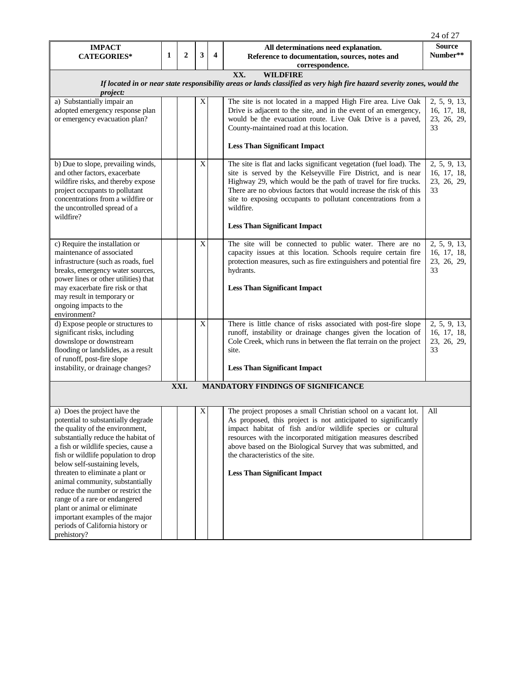|                                                                                                                                                                                                                                                                                                                                                                                                                                                                                                                                |   |                |             |                         |                                                                                                                                                                                                                                                                                                                                                                                                           | 24 of 27                                         |  |  |  |  |
|--------------------------------------------------------------------------------------------------------------------------------------------------------------------------------------------------------------------------------------------------------------------------------------------------------------------------------------------------------------------------------------------------------------------------------------------------------------------------------------------------------------------------------|---|----------------|-------------|-------------------------|-----------------------------------------------------------------------------------------------------------------------------------------------------------------------------------------------------------------------------------------------------------------------------------------------------------------------------------------------------------------------------------------------------------|--------------------------------------------------|--|--|--|--|
| <b>IMPACT</b><br><b>CATEGORIES*</b>                                                                                                                                                                                                                                                                                                                                                                                                                                                                                            | 1 | $\overline{2}$ | 3           | $\overline{\mathbf{4}}$ | All determinations need explanation.<br>Reference to documentation, sources, notes and<br>correspondence.                                                                                                                                                                                                                                                                                                 | <b>Source</b><br>Number**                        |  |  |  |  |
| XX.<br><b>WILDFIRE</b><br>If located in or near state responsibility areas or lands classified as very high fire hazard severity zones, would the<br><i>project:</i>                                                                                                                                                                                                                                                                                                                                                           |   |                |             |                         |                                                                                                                                                                                                                                                                                                                                                                                                           |                                                  |  |  |  |  |
| a) Substantially impair an<br>adopted emergency response plan<br>or emergency evacuation plan?                                                                                                                                                                                                                                                                                                                                                                                                                                 |   |                | X           |                         | The site is not located in a mapped High Fire area. Live Oak<br>Drive is adjacent to the site, and in the event of an emergency,<br>would be the evacuation route. Live Oak Drive is a paved,<br>County-maintained road at this location.<br><b>Less Than Significant Impact</b>                                                                                                                          | 2, 5, 9, 13,<br>16, 17, 18,<br>23, 26, 29,<br>33 |  |  |  |  |
| b) Due to slope, prevailing winds,<br>and other factors, exacerbate<br>wildfire risks, and thereby expose<br>project occupants to pollutant<br>concentrations from a wildfire or<br>the uncontrolled spread of a<br>wildfire?                                                                                                                                                                                                                                                                                                  |   |                | X           |                         | The site is flat and lacks significant vegetation (fuel load). The<br>site is served by the Kelseyville Fire District, and is near<br>Highway 29, which would be the path of travel for fire trucks.<br>There are no obvious factors that would increase the risk of this<br>site to exposing occupants to pollutant concentrations from a<br>wildfire.<br><b>Less Than Significant Impact</b>            | 2, 5, 9, 13,<br>16, 17, 18,<br>23, 26, 29,<br>33 |  |  |  |  |
| c) Require the installation or<br>maintenance of associated<br>infrastructure (such as roads, fuel<br>breaks, emergency water sources,<br>power lines or other utilities) that<br>may exacerbate fire risk or that<br>may result in temporary or<br>ongoing impacts to the<br>environment?                                                                                                                                                                                                                                     |   |                | X           |                         | The site will be connected to public water. There are no<br>capacity issues at this location. Schools require certain fire<br>protection measures, such as fire extinguishers and potential fire<br>hydrants.<br><b>Less Than Significant Impact</b>                                                                                                                                                      | 2, 5, 9, 13,<br>16, 17, 18,<br>23, 26, 29,<br>33 |  |  |  |  |
| d) Expose people or structures to<br>significant risks, including<br>downslope or downstream<br>flooding or landslides, as a result<br>of runoff, post-fire slope<br>instability, or drainage changes?                                                                                                                                                                                                                                                                                                                         |   |                | X           |                         | There is little chance of risks associated with post-fire slope<br>runoff, instability or drainage changes given the location of<br>Cole Creek, which runs in between the flat terrain on the project<br>site.<br><b>Less Than Significant Impact</b>                                                                                                                                                     | 2, 5, 9, 13,<br>16, 17, 18,<br>23, 26, 29,<br>33 |  |  |  |  |
|                                                                                                                                                                                                                                                                                                                                                                                                                                                                                                                                |   | XXI.           |             |                         | <b>MANDATORY FINDINGS OF SIGNIFICANCE</b>                                                                                                                                                                                                                                                                                                                                                                 |                                                  |  |  |  |  |
| a) Does the project have the<br>potential to substantially degrade<br>the quality of the environment,<br>substantially reduce the habitat of<br>a fish or wildlife species, cause a<br>fish or wildlife population to drop<br>below self-sustaining levels,<br>threaten to eliminate a plant or<br>animal community, substantially<br>reduce the number or restrict the<br>range of a rare or endangered<br>plant or animal or eliminate<br>important examples of the major<br>periods of California history or<br>prehistory? |   |                | $\mathbf X$ |                         | The project proposes a small Christian school on a vacant lot.<br>As proposed, this project is not anticipated to significantly<br>impact habitat of fish and/or wildlife species or cultural<br>resources with the incorporated mitigation measures described<br>above based on the Biological Survey that was submitted, and<br>the characteristics of the site.<br><b>Less Than Significant Impact</b> | All                                              |  |  |  |  |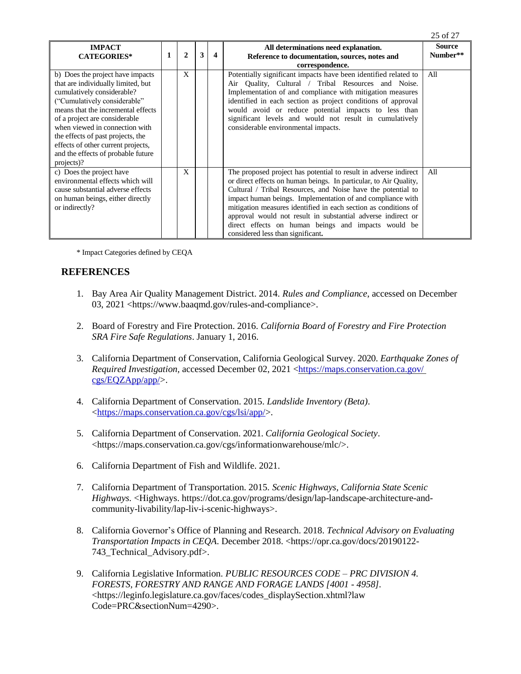|                                                                                                                                                                                                                                                                                                                                                                              |   |              |   |   |                                                                                                                                                                                                                                                                                                                                                                                                                                                                                                    | 25 of 27                  |
|------------------------------------------------------------------------------------------------------------------------------------------------------------------------------------------------------------------------------------------------------------------------------------------------------------------------------------------------------------------------------|---|--------------|---|---|----------------------------------------------------------------------------------------------------------------------------------------------------------------------------------------------------------------------------------------------------------------------------------------------------------------------------------------------------------------------------------------------------------------------------------------------------------------------------------------------------|---------------------------|
| <b>IMPACT</b><br><b>CATEGORIES*</b>                                                                                                                                                                                                                                                                                                                                          | 1 | $\mathbf{2}$ | 3 | 4 | All determinations need explanation.<br>Reference to documentation, sources, notes and<br>correspondence.                                                                                                                                                                                                                                                                                                                                                                                          | <b>Source</b><br>Number** |
| b) Does the project have impacts<br>that are individually limited, but<br>cumulatively considerable?<br>("Cumulatively considerable"<br>means that the incremental effects<br>of a project are considerable<br>when viewed in connection with<br>the effects of past projects, the<br>effects of other current projects,<br>and the effects of probable future<br>projects)? |   | X            |   |   | Potentially significant impacts have been identified related to<br>Air Quality, Cultural / Tribal Resources and Noise.<br>Implementation of and compliance with mitigation measures<br>identified in each section as project conditions of approval<br>would avoid or reduce potential impacts to less than<br>significant levels and would not result in cumulatively<br>considerable environmental impacts.                                                                                      | All                       |
| c) Does the project have<br>environmental effects which will<br>cause substantial adverse effects<br>on human beings, either directly<br>or indirectly?                                                                                                                                                                                                                      |   | $\mathbf{X}$ |   |   | The proposed project has potential to result in adverse indirect<br>or direct effects on human beings. In particular, to Air Quality,<br>Cultural / Tribal Resources, and Noise have the potential to<br>impact human beings. Implementation of and compliance with<br>mitigation measures identified in each section as conditions of<br>approval would not result in substantial adverse indirect or<br>direct effects on human beings and impacts would be<br>considered less than significant. | All                       |

\* Impact Categories defined by CEQA

#### **REFERENCES**

- 1. Bay Area Air Quality Management District. 2014. *Rules and Compliance*, accessed on December 03, 2021 <https://www.baaqmd.gov/rules-and-compliance>.
- 2. Board of Forestry and Fire Protection. 2016. *California Board of Forestry and Fire Protection SRA Fire Safe Regulations*. January 1, 2016.
- 3. California Department of Conservation, California Geological Survey. 2020. *Earthquake Zones of Required Investigation, accessed December 02, 2021* <https://maps.conservation.ca.gov/ cgs/EQZApp/app/>.
- 4. California Department of Conservation. 2015. *Landslide Inventory (Beta)*. <https://maps.conservation.ca.gov/cgs/lsi/app/>.
- 5. California Department of Conservation. 2021. *California Geological Society*. <https://maps.conservation.ca.gov/cgs/informationwarehouse/mlc/>.
- 6. California Department of Fish and Wildlife. 2021.
- 7. California Department of Transportation. 2015. *Scenic Highways, California State Scenic Highways.* <Highways. https://dot.ca.gov/programs/design/lap-landscape-architecture-andcommunity-livability/lap-liv-i-scenic-highways>.
- 8. California Governor's Office of Planning and Research. 2018. *Technical Advisory on Evaluating Transportation Impacts in CEQA*. December 2018. <https://opr.ca.gov/docs/20190122- 743\_Technical\_Advisory.pdf>.
- 9. California Legislative Information. *PUBLIC RESOURCES CODE – PRC DIVISION 4. FORESTS, FORESTRY AND RANGE AND FORAGE LANDS [4001 - 4958].*  <https://leginfo.legislature.ca.gov/faces/codes\_displaySection.xhtml?law Code=PRC&sectionNum=4290>.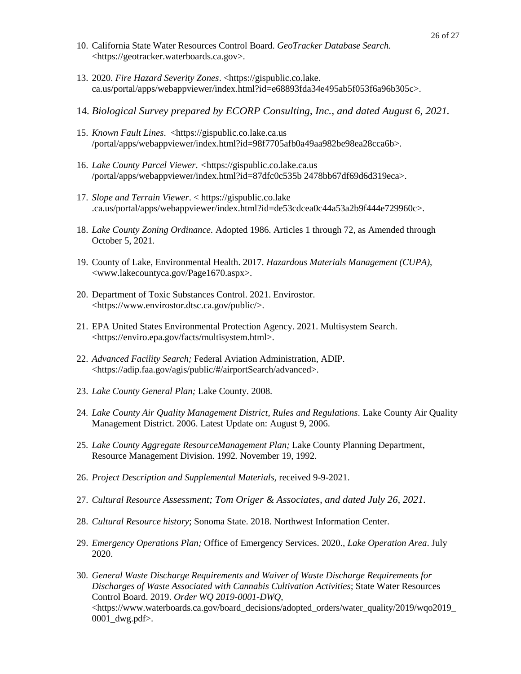- 10. California State Water Resources Control Board. *GeoTracker Database Search.*  <https://geotracker.waterboards.ca.gov>.
- 13. 2020. *Fire Hazard Severity Zones*. <https://gispublic.co.lake. ca.us/portal/apps/webappviewer/index.html?id=e68893fda34e495ab5f053f6a96b305c>.
- 14. *Biological Survey prepared by ECORP Consulting, Inc., and dated August 6, 2021.*
- 15. *Known Fault Lines*. <https://gispublic.co.lake.ca.us /portal/apps/webappviewer/index.html?id=98f7705afb0a49aa982be98ea28cca6b>.
- 16. *Lake County Parcel Viewer*. *<*https://gispublic.co.lake.ca.us /portal/apps/webappviewer/index.html?id=87dfc0c535b 2478bb67df69d6d319eca>.
- 17. *Slope and Terrain Viewer*. < https://gispublic.co.lake .ca.us/portal/apps/webappviewer/index.html?id=de53cdcea0c44a53a2b9f444e729960c>.
- 18. *Lake County Zoning Ordinance.* Adopted 1986. Articles 1 through 72, as Amended through October 5, 2021*.*
- 19. County of Lake, Environmental Health. 2017. *Hazardous Materials Management (CUPA)*, <www.lakecountyca.gov/Page1670.aspx>.
- 20. Department of Toxic Substances Control. 2021. Envirostor. <https://www.envirostor.dtsc.ca.gov/public/>.
- 21. EPA United States Environmental Protection Agency. 2021. Multisystem Search. <https://enviro.epa.gov/facts/multisystem.html>.
- 22. *Advanced Facility Search;* Federal Aviation Administration, ADIP. <https://adip.faa.gov/agis/public/#/airportSearch/advanced>.
- 23. *Lake County General Plan;* Lake County. 2008.
- 24. *Lake County Air Quality Management District, Rules and Regulations.* Lake County Air Quality Management District. 2006. Latest Update on: August 9, 2006.
- 25. *Lake County Aggregate ResourceManagement Plan;* Lake County Planning Department, Resource Management Division. 1992*.* November 19, 1992.
- 26. *Project Description and Supplemental Materials,* received 9-9-2021.
- 27. *Cultural Resource Assessment; Tom Origer & Associates, and dated July 26, 2021.*
- 28. *Cultural Resource history*; Sonoma State. 2018. Northwest Information Center.
- 29. *Emergency Operations Plan;* Office of Emergency Services. 2020.*, Lake Operation Area*. July 2020.
- 30. *General Waste Discharge Requirements and Waiver of Waste Discharge Requirements for Discharges of Waste Associated with Cannabis Cultivation Activities*; State Water Resources Control Board. 2019. *Order WQ 2019-0001-DWQ,* <http[s://ww](http://www.waterboards.ca.gov/board_decisions/adopted_orders/water_quality/2019/wqo2019_0001_dwg.pdf)w[.waterboards.ca.gov/board\\_decisions/adopted\\_orders/water\\_quality/2019/wqo2019\\_](http://www.waterboards.ca.gov/board_decisions/adopted_orders/water_quality/2019/wqo2019_0001_dwg.pdf) [0001\\_dwg.pdf>](http://www.waterboards.ca.gov/board_decisions/adopted_orders/water_quality/2019/wqo2019_0001_dwg.pdf).